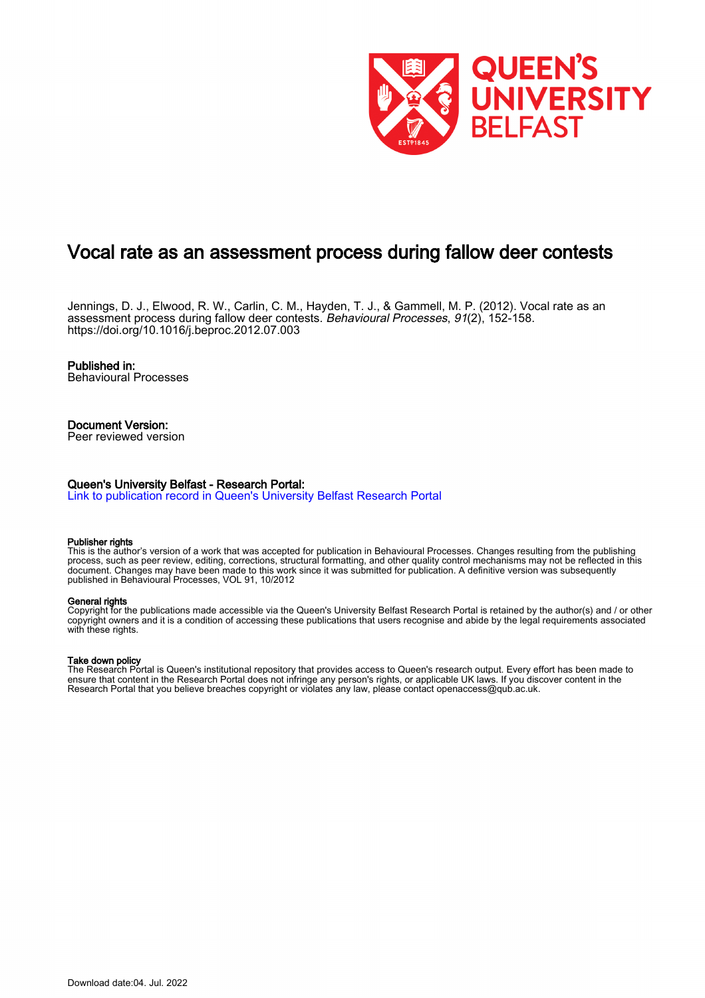

## Vocal rate as an assessment process during fallow deer contests

Jennings, D. J., Elwood, R. W., Carlin, C. M., Hayden, T. J., & Gammell, M. P. (2012). Vocal rate as an assessment process during fallow deer contests. Behavioural Processes, 91(2), 152-158. <https://doi.org/10.1016/j.beproc.2012.07.003>

### Published in:

Behavioural Processes

## Document Version:

Peer reviewed version

### Queen's University Belfast - Research Portal:

[Link to publication record in Queen's University Belfast Research Portal](https://pure.qub.ac.uk/en/publications/002b6f7d-97a3-4ae4-bed2-67ea519a22c5)

#### Publisher rights

This is the author's version of a work that was accepted for publication in Behavioural Processes. Changes resulting from the publishing process, such as peer review, editing, corrections, structural formatting, and other quality control mechanisms may not be reflected in this document. Changes may have been made to this work since it was submitted for publication. A definitive version was subsequently published in Behavioural Processes, VOL 91, 10/2012

#### General rights

Copyright for the publications made accessible via the Queen's University Belfast Research Portal is retained by the author(s) and / or other copyright owners and it is a condition of accessing these publications that users recognise and abide by the legal requirements associated with these rights.

#### Take down policy

The Research Portal is Queen's institutional repository that provides access to Queen's research output. Every effort has been made to ensure that content in the Research Portal does not infringe any person's rights, or applicable UK laws. If you discover content in the Research Portal that you believe breaches copyright or violates any law, please contact openaccess@qub.ac.uk.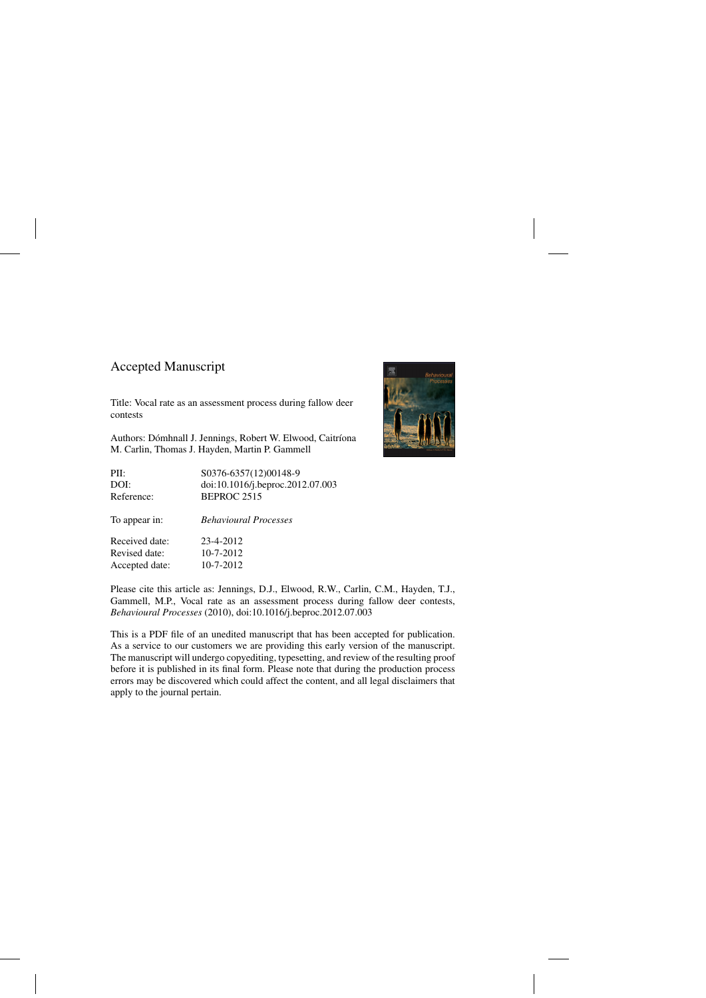## Accepted Manuscript

Title: Vocal rate as an assessment process during fallow deer contests

Authors: Dómhnall J. Jennings, Robert W. Elwood, Caitríona M. Carlin, Thomas J. Hayden, Martin P. Gammell

PII: S0376-6357(12)00148-9 DOI: [doi:10.1016/j.beproc.2012.07.003](dx.doi.org/doi:10.1016/j.beproc.2012.07.003) Reference: BEPROC 2515

To appear in: *Behavioural Processes*

Received date: 23-4-2012 Revised date: 10-7-2012 Accepted date: 10-7-2012



Please cite this article as: Jennings, D.J., Elwood, R.W., Carlin, C.M., Hayden, T.J., Gammell, M.P., Vocal rate as an assessment process during fallow deer contests, *Behavioural Processes* (2010), doi:[10.1016/j.beproc.2012.07.003](dx.doi.org/10.1016/j.beproc.2012.07.003)

This is a PDF file of an unedited manuscript that has been accepted for publication. As a service to our customers we are providing this early version of the manuscript. The manuscript will undergo copyediting, typesetting, and review of the resulting proof before it is published in its final form. Please note that during the production process errors may be discovered which could affect the content, and all legal disclaimers that apply to the journal pertain.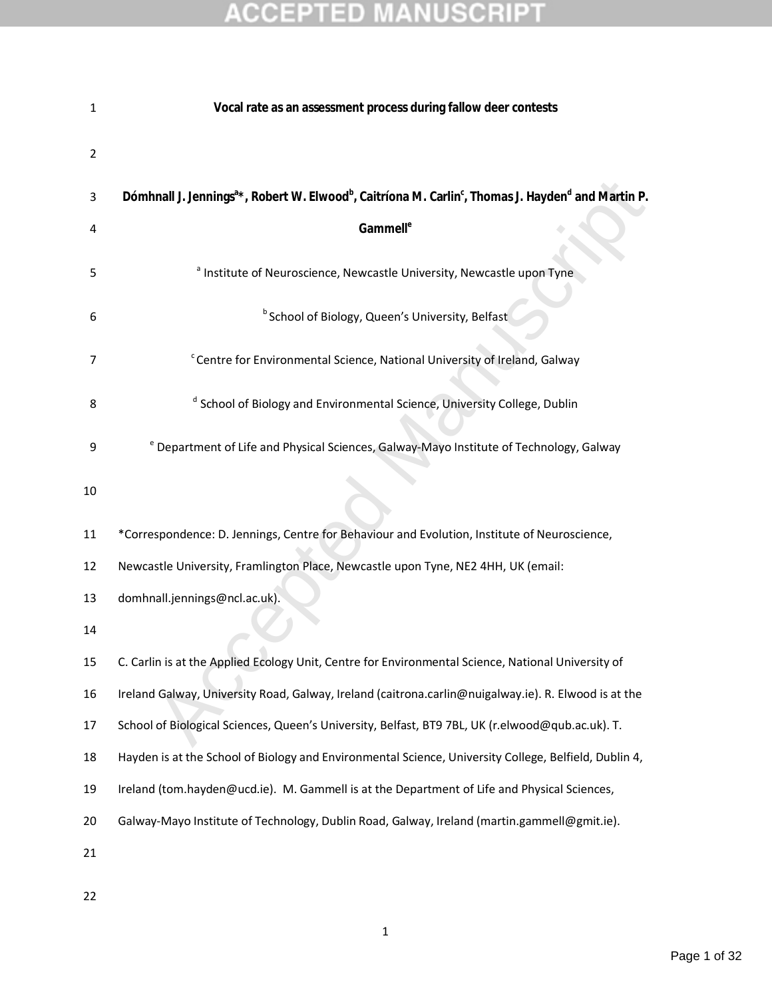| 1  | Vocal rate as an assessment process during fallow deer contests                                                                                     |
|----|-----------------------------------------------------------------------------------------------------------------------------------------------------|
| 2  |                                                                                                                                                     |
| 3  | Dómhnall J. Jennings <sup>a*</sup> , Robert W. Elwood <sup>b</sup> , Caitríona M. Carlin <sup>c</sup> , Thomas J. Hayden <sup>d</sup> and Martin P. |
| 4  | Gammell <sup>e</sup>                                                                                                                                |
| 5  | <sup>a</sup> Institute of Neuroscience, Newcastle University, Newcastle upon Tyne                                                                   |
| 6  | <sup>b</sup> School of Biology, Queen's University, Belfast                                                                                         |
| 7  | <sup>c</sup> Centre for Environmental Science, National University of Ireland, Galway                                                               |
| 8  | <sup>d</sup> School of Biology and Environmental Science, University College, Dublin                                                                |
| 9  | <sup>e</sup> Department of Life and Physical Sciences, Galway-Mayo Institute of Technology, Galway                                                  |
| 10 |                                                                                                                                                     |
| 11 | *Correspondence: D. Jennings, Centre for Behaviour and Evolution, Institute of Neuroscience,                                                        |
| 12 | Newcastle University, Framlington Place, Newcastle upon Tyne, NE2 4HH, UK (email:                                                                   |
| 13 | domhnall.jennings@ncl.ac.uk).                                                                                                                       |
| 14 |                                                                                                                                                     |
| 15 | C. Carlin is at the Applied Ecology Unit, Centre for Environmental Science, National University of                                                  |
| 16 | Ireland Galway, University Road, Galway, Ireland (caitrona.carlin@nuigalway.ie). R. Elwood is at the                                                |
| 17 | School of Biological Sciences, Queen's University, Belfast, BT9 7BL, UK (r.elwood@qub.ac.uk). T.                                                    |
| 18 | Hayden is at the School of Biology and Environmental Science, University College, Belfield, Dublin 4,                                               |
| 19 | Ireland (tom.hayden@ucd.ie). M. Gammell is at the Department of Life and Physical Sciences,                                                         |
| 20 | Galway-Mayo Institute of Technology, Dublin Road, Galway, Ireland (martin.gammell@gmit.ie).                                                         |
| 21 |                                                                                                                                                     |
|    |                                                                                                                                                     |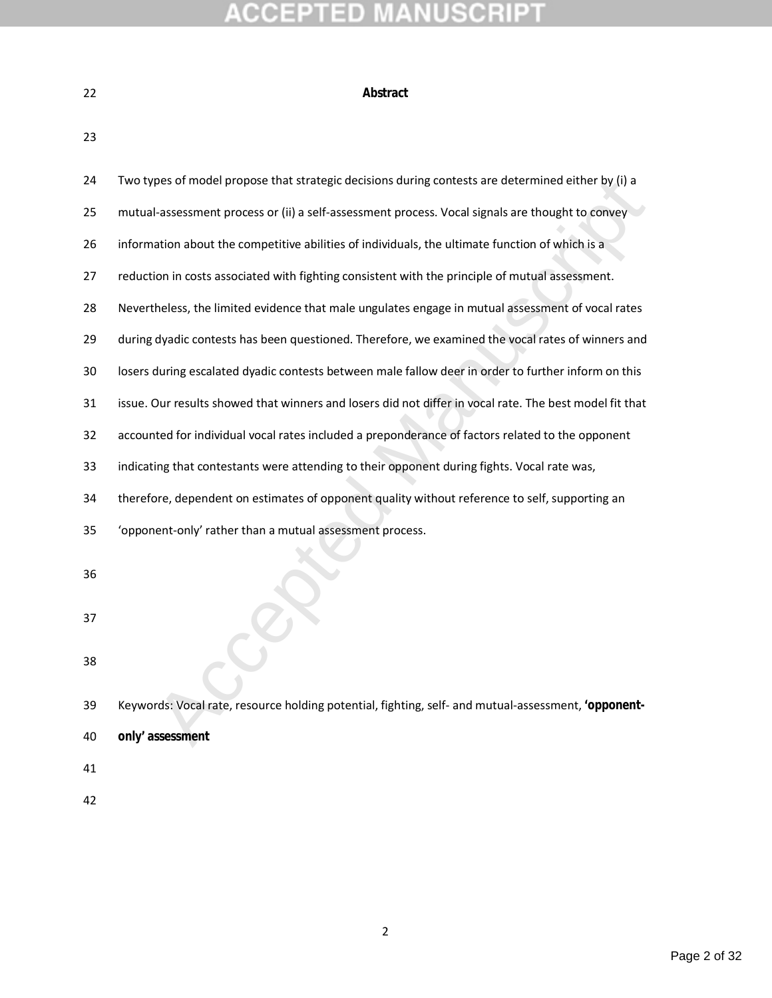| ۰. |  |
|----|--|
|    |  |
|    |  |

### **Abstract**

| 24 | Two types of model propose that strategic decisions during contests are determined either by (i) a      |
|----|---------------------------------------------------------------------------------------------------------|
| 25 | mutual-assessment process or (ii) a self-assessment process. Vocal signals are thought to convey        |
| 26 | information about the competitive abilities of individuals, the ultimate function of which is a         |
| 27 | reduction in costs associated with fighting consistent with the principle of mutual assessment.         |
| 28 | Nevertheless, the limited evidence that male ungulates engage in mutual assessment of vocal rates       |
| 29 | during dyadic contests has been questioned. Therefore, we examined the vocal rates of winners and       |
| 30 | losers during escalated dyadic contests between male fallow deer in order to further inform on this     |
| 31 | issue. Our results showed that winners and losers did not differ in vocal rate. The best model fit that |
| 32 | accounted for individual vocal rates included a preponderance of factors related to the opponent        |
| 33 | indicating that contestants were attending to their opponent during fights. Vocal rate was,             |
| 34 | therefore, dependent on estimates of opponent quality without reference to self, supporting an          |
| 35 | 'opponent-only' rather than a mutual assessment process.                                                |
| 36 |                                                                                                         |
| 37 |                                                                                                         |
| 38 |                                                                                                         |
| 39 | Keywords: Vocal rate, resource holding potential, fighting, self- and mutual-assessment, 'opponent-     |
| 40 | only' assessment                                                                                        |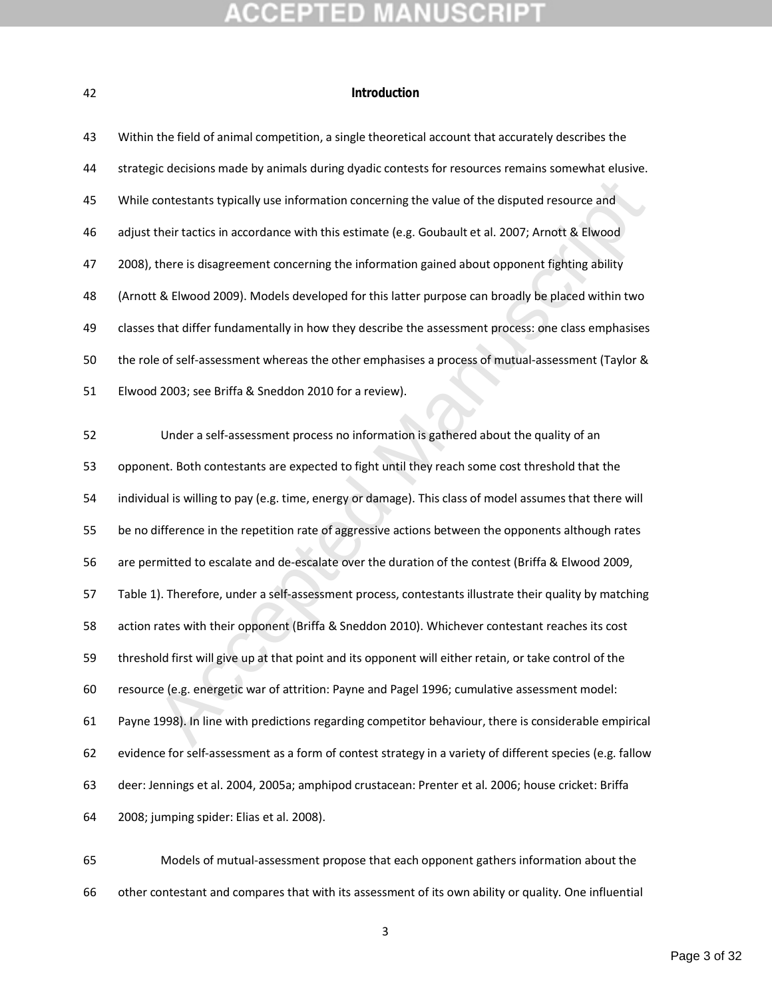### **Introduction**

| 43 | Within the field of animal competition, a single theoretical account that accurately describes the        |
|----|-----------------------------------------------------------------------------------------------------------|
| 44 | strategic decisions made by animals during dyadic contests for resources remains somewhat elusive.        |
| 45 | While contestants typically use information concerning the value of the disputed resource and             |
| 46 | adjust their tactics in accordance with this estimate (e.g. Goubault et al. 2007; Arnott & Elwood         |
| 47 | 2008), there is disagreement concerning the information gained about opponent fighting ability            |
| 48 | (Arnott & Elwood 2009). Models developed for this latter purpose can broadly be placed within two         |
| 49 | classes that differ fundamentally in how they describe the assessment process: one class emphasises       |
| 50 | the role of self-assessment whereas the other emphasises a process of mutual-assessment (Taylor &         |
| 51 | Elwood 2003; see Briffa & Sneddon 2010 for a review).                                                     |
|    |                                                                                                           |
| 52 | Under a self-assessment process no information is gathered about the quality of an                        |
| 53 | opponent. Both contestants are expected to fight until they reach some cost threshold that the            |
| 54 | individual is willing to pay (e.g. time, energy or damage). This class of model assumes that there will   |
| 55 | be no difference in the repetition rate of aggressive actions between the opponents although rates        |
| 56 | are permitted to escalate and de-escalate over the duration of the contest (Briffa & Elwood 2009,         |
| 57 | Table 1). Therefore, under a self-assessment process, contestants illustrate their quality by matching    |
| 58 | action rates with their opponent (Briffa & Sneddon 2010). Whichever contestant reaches its cost           |
| 59 | threshold first will give up at that point and its opponent will either retain, or take control of the    |
| 60 | resource (e.g. energetic war of attrition: Payne and Pagel 1996; cumulative assessment model:             |
| 61 | Payne 1998). In line with predictions regarding competitor behaviour, there is considerable empirical     |
| 62 | evidence for self-assessment as a form of contest strategy in a variety of different species (e.g. fallow |
| 63 | deer: Jennings et al. 2004, 2005a; amphipod crustacean: Prenter et al. 2006; house cricket: Briffa        |
| 64 | 2008; jumping spider: Elias et al. 2008).                                                                 |

 Models of mutual-assessment propose that each opponent gathers information about the other contestant and compares that with its assessment of its own ability or quality. One influential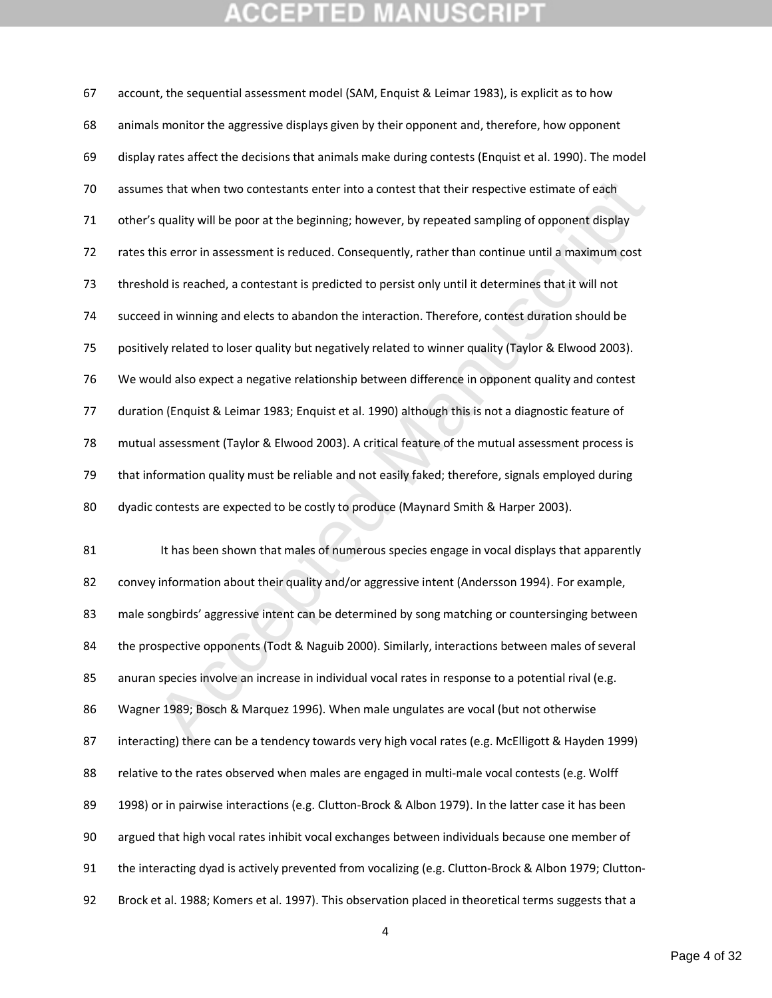## **CEPTED MANUSCR**

es that when two contestants enter into a contest that their respective estimate of each<br>squality will be poor at the beginning; however, by repeated sampling of opponent display<br>his error in assessment is reduced. Consequ account, the sequential assessment model (SAM, Enquist & Leimar 1983), is explicit as to how animals monitor the aggressive displays given by their opponent and, therefore, how opponent display rates affect the decisions that animals make during contests (Enquist et al. 1990). The model assumes that when two contestants enter into a contest that their respective estimate of each other's quality will be poor at the beginning; however, by repeated sampling of opponent display rates this error in assessment is reduced. Consequently, rather than continue until a maximum cost threshold is reached, a contestant is predicted to persist only until it determines that it will not succeed in winning and elects to abandon the interaction. Therefore, contest duration should be positively related to loser quality but negatively related to winner quality (Taylor & Elwood 2003). We would also expect a negative relationship between difference in opponent quality and contest duration (Enquist & Leimar 1983; Enquist et al. 1990) although this is not a diagnostic feature of mutual assessment (Taylor & Elwood 2003). A critical feature of the mutual assessment process is that information quality must be reliable and not easily faked; therefore, signals employed during dyadic contests are expected to be costly to produce (Maynard Smith & Harper 2003). 81 It has been shown that males of numerous species engage in vocal displays that apparently convey information about their quality and/or aggressive intent (Andersson 1994). For example, male songbirds' aggressive intent can be determined by song matching or countersinging between the prospective opponents (Todt & Naguib 2000). Similarly, interactions between males of several 85 anuran species involve an increase in individual vocal rates in response to a potential rival (e.g. Wagner 1989; Bosch & Marquez 1996). When male ungulates are vocal (but not otherwise 87 interacting) there can be a tendency towards very high vocal rates (e.g. McElligott & Hayden 1999) relative to the rates observed when males are engaged in multi-male vocal contests (e.g. Wolff 89 1998) or in pairwise interactions (e.g. Clutton-Brock & Albon 1979). In the latter case it has been argued that high vocal rates inhibit vocal exchanges between individuals because one member of the interacting dyad is actively prevented from vocalizing (e.g. Clutton-Brock & Albon 1979; Clutton-Brock et al. 1988; Komers et al. 1997). This observation placed in theoretical terms suggests that a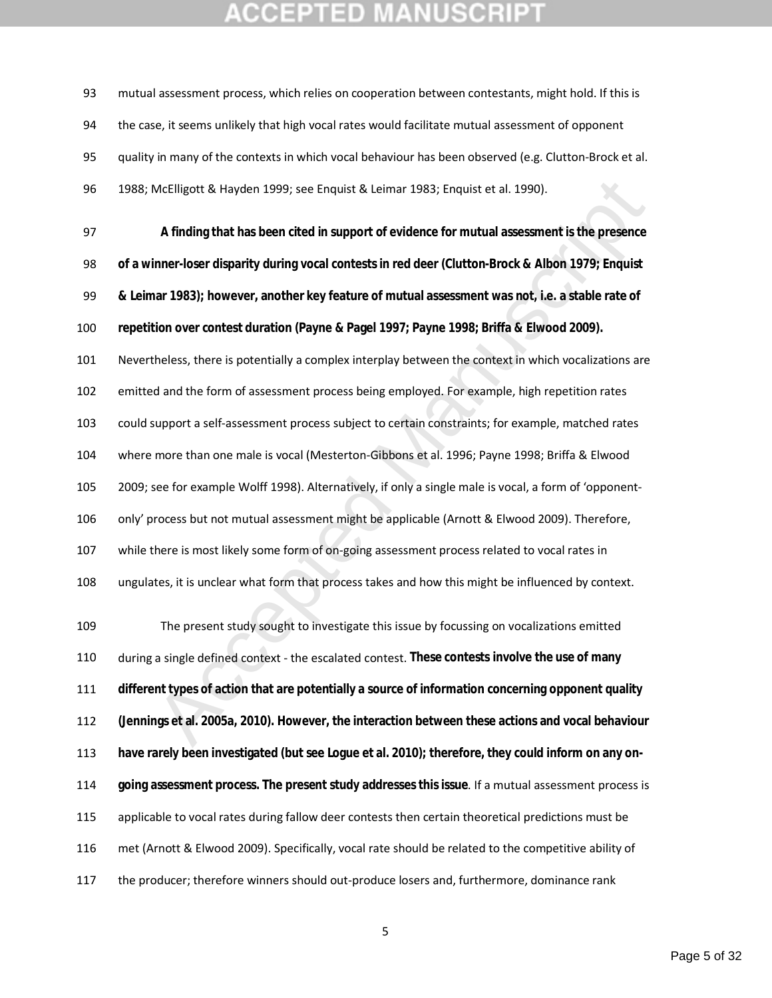mutual assessment process, which relies on cooperation between contestants, might hold. If this is 94 the case, it seems unlikely that high vocal rates would facilitate mutual assessment of opponent quality in many of the contexts in which vocal behaviour has been observed (e.g. Clutton-Brock et al. 1988; McElligott & Hayden 1999; see Enquist & Leimar 1983; Enquist et al. 1990).

McElligott & Hayden 1999; see Enquist & Leimar 1983; Enquist et al. 1990).<br>
A finding that has been cited in support of evidence for mutual assessment is the presence<br>
inner-loser disparity during vocal contests in red dee **A finding that has been cited in support of evidence for mutual assessment is the presence of a winner-loser disparity during vocal contests in red deer (Clutton-Brock & Albon 1979; Enquist & Leimar 1983); however, another key feature of mutual assessment was not, i.e. a stable rate of repetition over contest duration (Payne & Pagel 1997; Payne 1998; Briffa & Elwood 2009).**  Nevertheless, there is potentially a complex interplay between the context in which vocalizations are emitted and the form of assessment process being employed. For example, high repetition rates could support a self-assessment process subject to certain constraints; for example, matched rates where more than one male is vocal (Mesterton-Gibbons et al. 1996; Payne 1998; Briffa & Elwood 2009; see for example Wolff 1998). Alternatively, if only a single male is vocal, a form of 'opponent- only' process but not mutual assessment might be applicable (Arnott & Elwood 2009). Therefore, while there is most likely some form of on-going assessment process related to vocal rates in ungulates, it is unclear what form that process takes and how this might be influenced by context.

 The present study sought to investigate this issue by focussing on vocalizations emitted during a single defined context - the escalated contest. **These contests involve the use of many different types of action that are potentially a source of information concerning opponent quality (Jennings et al. 2005a, 2010). However, the interaction between these actions and vocal behaviour have rarely been investigated (but see Logue et al. 2010); therefore, they could inform on any on- going assessment process. The present study addresses this issue**. If a mutual assessment process is applicable to vocal rates during fallow deer contests then certain theoretical predictions must be met (Arnott & Elwood 2009). Specifically, vocal rate should be related to the competitive ability of the producer; therefore winners should out-produce losers and, furthermore, dominance rank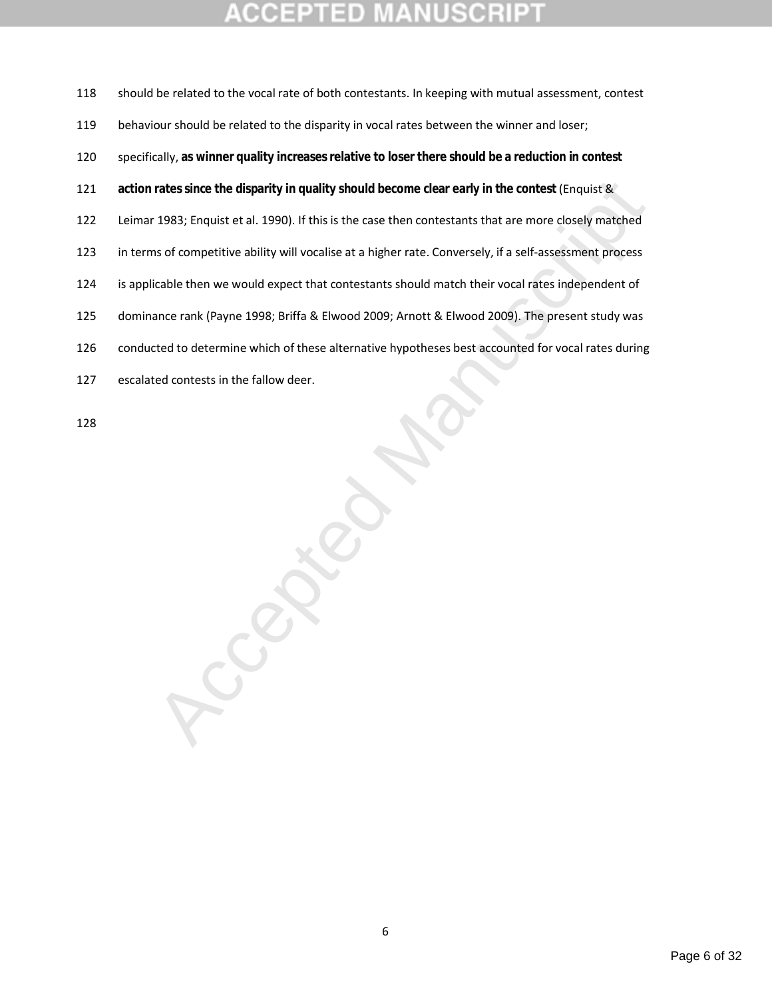rates since the disparity in quality should become clear early in the contest (Enquist &<br>1983; Enquist et al. 1990). If this is the case then contestants that are more closely matched<br>1983; Enquist et al. 1990). If this is should be related to the vocal rate of both contestants. In keeping with mutual assessment, contest behaviour should be related to the disparity in vocal rates between the winner and loser; specifically, **as winner quality increases relative to loser there should be a reduction in contest action rates since the disparity in quality should become clear early in the contest (Enquist &**  Leimar 1983; Enquist et al. 1990). If this is the case then contestants that are more closely matched in terms of competitive ability will vocalise at a higher rate. Conversely, if a self-assessment process is applicable then we would expect that contestants should match their vocal rates independent of dominance rank (Payne 1998; Briffa & Elwood 2009; Arnott & Elwood 2009). The present study was conducted to determine which of these alternative hypotheses best accounted for vocal rates during escalated contests in the fallow deer.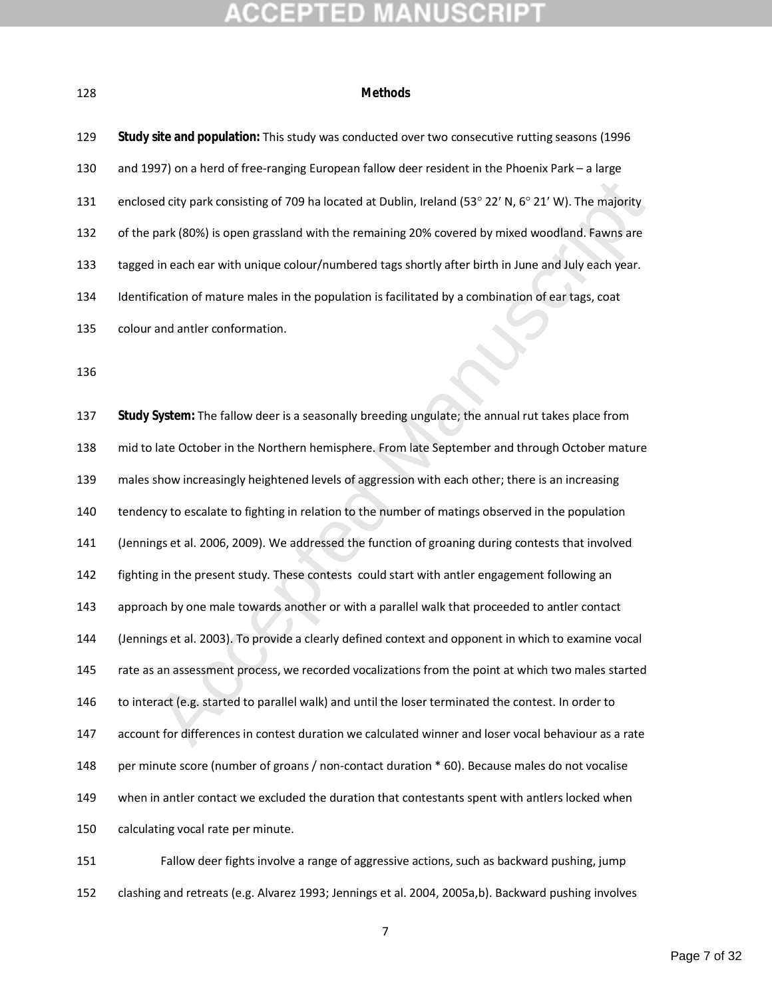#### **ACCEPTED NUSCRIP1** M

### **Methods**

| 129 | Study site and population: This study was conducted over two consecutive rutting seasons (1996         |
|-----|--------------------------------------------------------------------------------------------------------|
| 130 | and 1997) on a herd of free-ranging European fallow deer resident in the Phoenix Park - a large        |
| 131 | enclosed city park consisting of 709 ha located at Dublin, Ireland (53° 22' N, 6° 21' W). The majority |
| 132 | of the park (80%) is open grassland with the remaining 20% covered by mixed woodland. Fawns are        |
| 133 | tagged in each ear with unique colour/numbered tags shortly after birth in June and July each year.    |
| 134 | Identification of mature males in the population is facilitated by a combination of ear tags, coat     |
| 135 | colour and antler conformation.                                                                        |
| 136 |                                                                                                        |
|     |                                                                                                        |
| 137 | Study System: The fallow deer is a seasonally breeding ungulate; the annual rut takes place from       |
| 138 | mid to late October in the Northern hemisphere. From late September and through October mature         |
| 139 | males show increasingly heightened levels of aggression with each other; there is an increasing        |
| 140 | tendency to escalate to fighting in relation to the number of matings observed in the population       |
| 141 | (Jennings et al. 2006, 2009). We addressed the function of groaning during contests that involved      |
| 142 | fighting in the present study. These contests could start with antler engagement following an          |
| 143 | approach by one male towards another or with a parallel walk that proceeded to antler contact          |
| 144 | (Jennings et al. 2003). To provide a clearly defined context and opponent in which to examine vocal    |
| 145 | rate as an assessment process, we recorded vocalizations from the point at which two males started     |
| 146 | to interact (e.g. started to parallel walk) and until the loser terminated the contest. In order to    |
| 147 | account for differences in contest duration we calculated winner and loser vocal behaviour as a rate   |
| 148 | per minute score (number of groans / non-contact duration * 60). Because males do not vocalise         |
| 149 | when in antler contact we excluded the duration that contestants spent with antlers locked when        |
| 150 | calculating vocal rate per minute.                                                                     |
| 151 | Fallow deer fights involve a range of aggressive actions, such as backward pushing, jump               |

clashing and retreats (e.g. Alvarez 1993; Jennings et al. 2004, 2005a,b). Backward pushing involves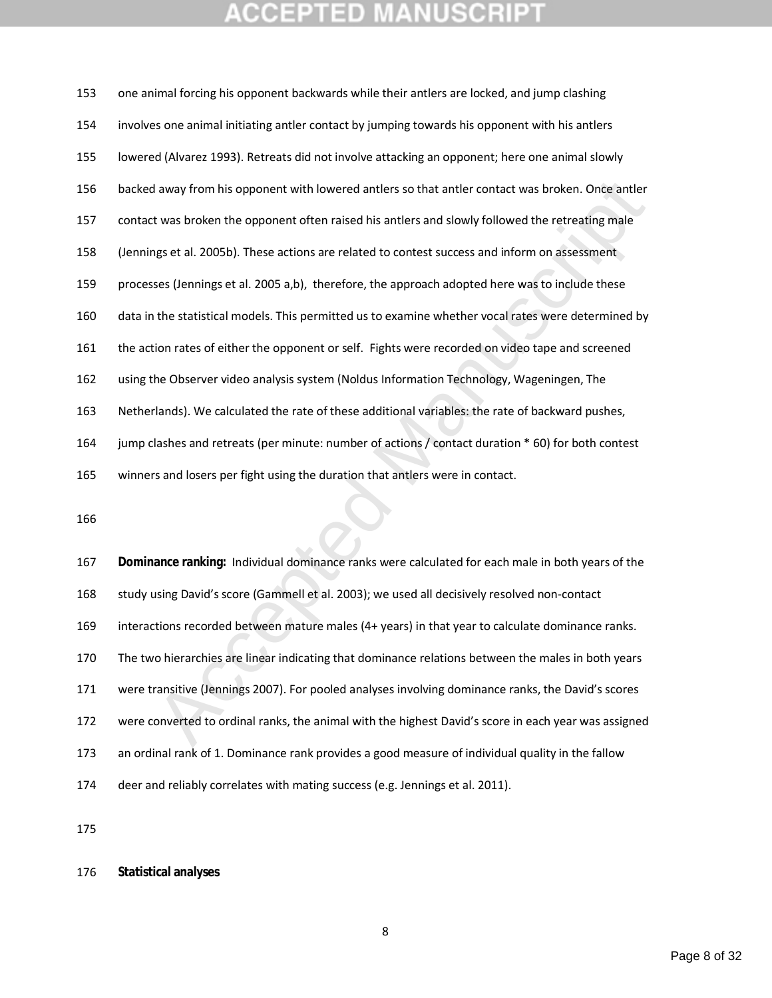#### **JUSCRII** COEPTED

| 153 | one animal forcing his opponent backwards while their antlers are locked, and jump clashing          |  |  |
|-----|------------------------------------------------------------------------------------------------------|--|--|
| 154 | involves one animal initiating antler contact by jumping towards his opponent with his antlers       |  |  |
| 155 | lowered (Alvarez 1993). Retreats did not involve attacking an opponent; here one animal slowly       |  |  |
| 156 | backed away from his opponent with lowered antlers so that antler contact was broken. Once antler    |  |  |
| 157 | contact was broken the opponent often raised his antlers and slowly followed the retreating male     |  |  |
| 158 | (Jennings et al. 2005b). These actions are related to contest success and inform on assessment       |  |  |
| 159 | processes (Jennings et al. 2005 a,b), therefore, the approach adopted here was to include these      |  |  |
| 160 | data in the statistical models. This permitted us to examine whether vocal rates were determined by  |  |  |
| 161 | the action rates of either the opponent or self. Fights were recorded on video tape and screened     |  |  |
| 162 | using the Observer video analysis system (Noldus Information Technology, Wageningen, The             |  |  |
| 163 | Netherlands). We calculated the rate of these additional variables: the rate of backward pushes,     |  |  |
| 164 | jump clashes and retreats (per minute: number of actions / contact duration * 60) for both contest   |  |  |
| 165 | winners and losers per fight using the duration that antlers were in contact.                        |  |  |
| 166 |                                                                                                      |  |  |
|     |                                                                                                      |  |  |
| 167 | Dominance ranking: Individual dominance ranks were calculated for each male in both years of the     |  |  |
| 168 | study using David's score (Gammell et al. 2003); we used all decisively resolved non-contact         |  |  |
| 169 | interactions recorded between mature males (4+ years) in that year to calculate dominance ranks.     |  |  |
| 170 | The two hierarchies are linear indicating that dominance relations between the males in both years   |  |  |
| 171 | were transitive (Jennings 2007). For pooled analyses involving dominance ranks, the David's scores   |  |  |
| 172 | were converted to ordinal ranks, the animal with the highest David's score in each year was assigned |  |  |

 **Dominance ranking:** Individual dominance ranks were calculated for each male in both years of the 168 study using David's score (Gammell et al. 2003); we used all decisively resolved non-contact interactions recorded between mature males (4+ years) in that year to calculate dominance ranks. The two hierarchies are linear indicating that dominance relations between the males in both years were transitive (Jennings 2007). For pooled analyses involving dominance ranks, the David's scores were converted to ordinal ranks, the animal with the highest David's score in each year was assigned an ordinal rank of 1. Dominance rank provides a good measure of individual quality in the fallow deer and reliably correlates with mating success (e.g. Jennings et al. 2011).

**Statistical analyses**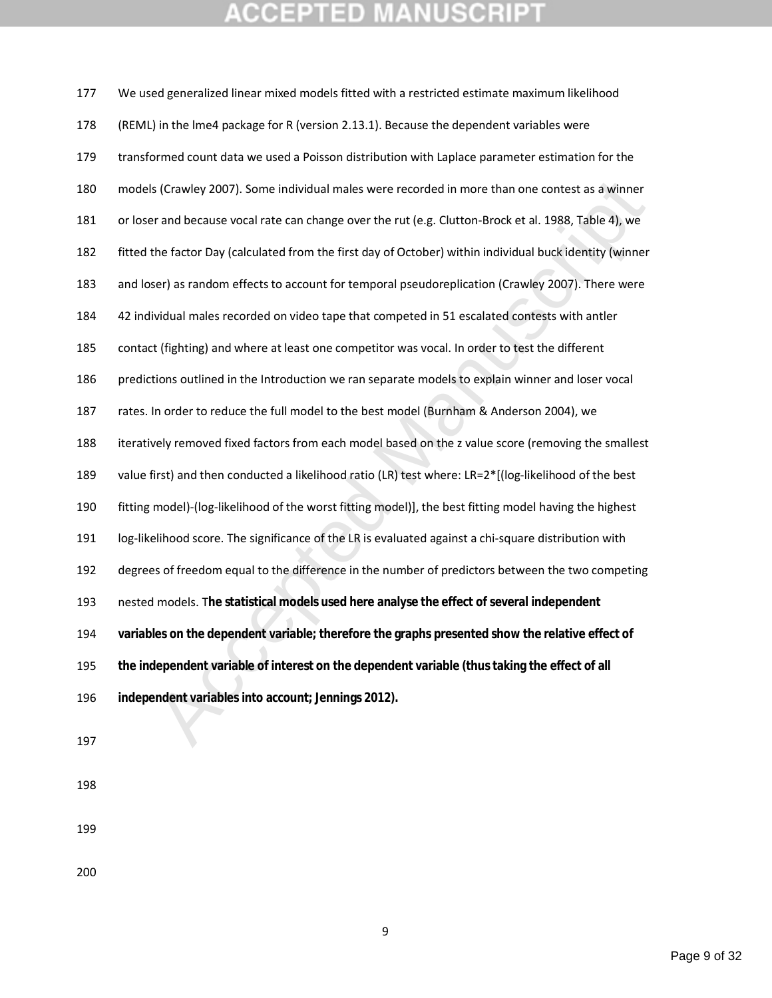s (Crawley 2007). Some individual males were recorded in more than one contest as a winner<br>rand because vocal rate can change over the rut (e.g. Clutton-Brock et al. 1988, Table 4), we<br>the factor Day (calculated from the f We used generalized linear mixed models fitted with a restricted estimate maximum likelihood (REML) in the lme4 package for R (version 2.13.1). Because the dependent variables were transformed count data we used a Poisson distribution with Laplace parameter estimation for the models (Crawley 2007). Some individual males were recorded in more than one contest as a winner or loser and because vocal rate can change over the rut (e.g. Clutton-Brock et al. 1988, Table 4), we fitted the factor Day (calculated from the first day of October) within individual buck identity (winner and loser) as random effects to account for temporal pseudoreplication (Crawley 2007). There were 42 individual males recorded on video tape that competed in 51 escalated contests with antler contact (fighting) and where at least one competitor was vocal. In order to test the different predictions outlined in the Introduction we ran separate models to explain winner and loser vocal rates. In order to reduce the full model to the best model (Burnham & Anderson 2004), we iteratively removed fixed factors from each model based on the z value score (removing the smallest value first) and then conducted a likelihood ratio (LR) test where: LR=2\*[(log-likelihood of the best fitting model)-(log-likelihood of the worst fitting model)], the best fitting model having the highest log-likelihood score. The significance of the LR is evaluated against a chi-square distribution with degrees of freedom equal to the difference in the number of predictors between the two competing nested models. T**he statistical models used here analyse the effect of several independent variables on the dependent variable; therefore the graphs presented show the relative effect of the independent variable of interest on the dependent variable (thus taking the effect of all independent variables into account; Jennings 2012).**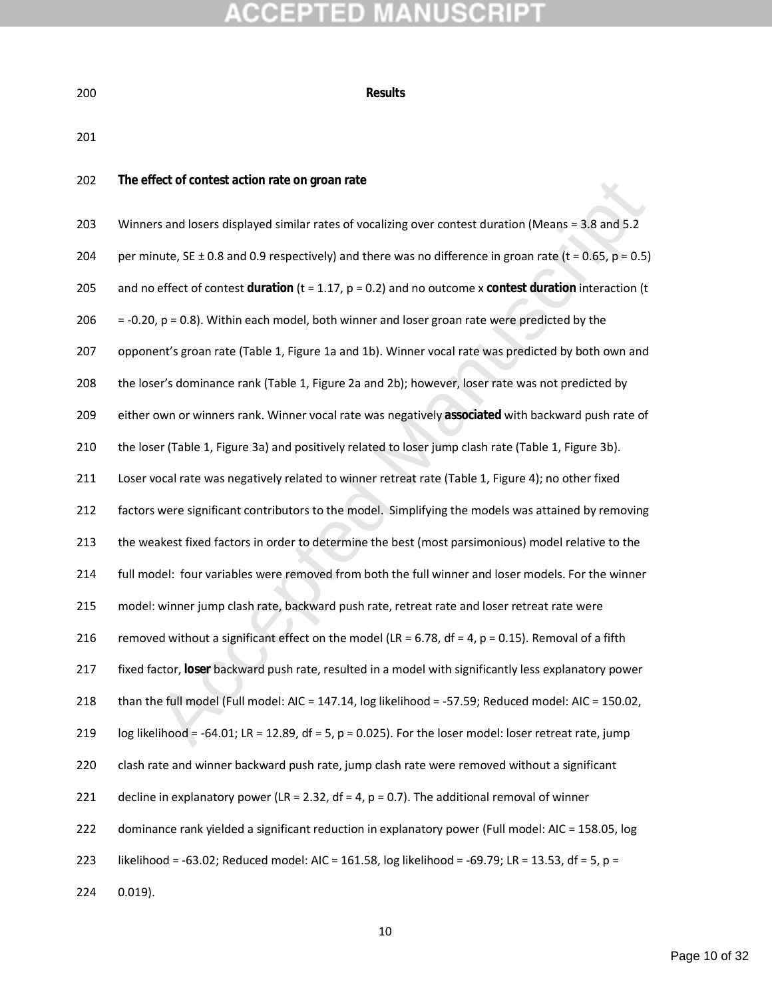| ٦<br>×<br>۰. | ×<br>۰. |
|--------------|---------|

**Results**

**The effect of contest action rate on groan rate**

| 202 | The effect of contest action rate on groan rate                                                               |
|-----|---------------------------------------------------------------------------------------------------------------|
| 203 | Winners and losers displayed similar rates of vocalizing over contest duration (Means = 3.8 and 5.2           |
| 204 | per minute, SE $\pm$ 0.8 and 0.9 respectively) and there was no difference in groan rate (t = 0.65, p = 0.5)  |
| 205 | and no effect of contest duration ( $t = 1.17$ , $p = 0.2$ ) and no outcome x contest duration interaction (t |
| 206 | $= -0.20$ , $p = 0.8$ ). Within each model, both winner and loser groan rate were predicted by the            |
| 207 | opponent's groan rate (Table 1, Figure 1a and 1b). Winner vocal rate was predicted by both own and            |
| 208 | the loser's dominance rank (Table 1, Figure 2a and 2b); however, loser rate was not predicted by              |
| 209 | either own or winners rank. Winner vocal rate was negatively associated with backward push rate of            |
| 210 | the loser (Table 1, Figure 3a) and positively related to loser jump clash rate (Table 1, Figure 3b).          |
| 211 | Loser vocal rate was negatively related to winner retreat rate (Table 1, Figure 4); no other fixed            |
| 212 | factors were significant contributors to the model. Simplifying the models was attained by removing           |
| 213 | the weakest fixed factors in order to determine the best (most parsimonious) model relative to the            |
| 214 | full model: four variables were removed from both the full winner and loser models. For the winner            |
| 215 | model: winner jump clash rate, backward push rate, retreat rate and loser retreat rate were                   |
| 216 | removed without a significant effect on the model (LR = 6.78, df = 4, $p = 0.15$ ). Removal of a fifth        |
| 217 | fixed factor, loser backward push rate, resulted in a model with significantly less explanatory power         |
| 218 | than the full model (Full model: AIC = $147.14$ , log likelihood = -57.59; Reduced model: AIC = 150.02,       |
| 219 | log likelihood = -64.01; LR = 12.89, df = 5, p = 0.025). For the loser model: loser retreat rate, jump        |
| 220 | clash rate and winner backward push rate, jump clash rate were removed without a significant                  |
| 221 | decline in explanatory power (LR = 2.32, df = 4, $p = 0.7$ ). The additional removal of winner                |
| 222 | dominance rank yielded a significant reduction in explanatory power (Full model: AIC = 158.05, log            |
| 223 | likelihood = -63.02; Reduced model: AIC = 161.58, log likelihood = -69.79; LR = 13.53, df = 5, p =            |
| 224 | $0.019$ ).                                                                                                    |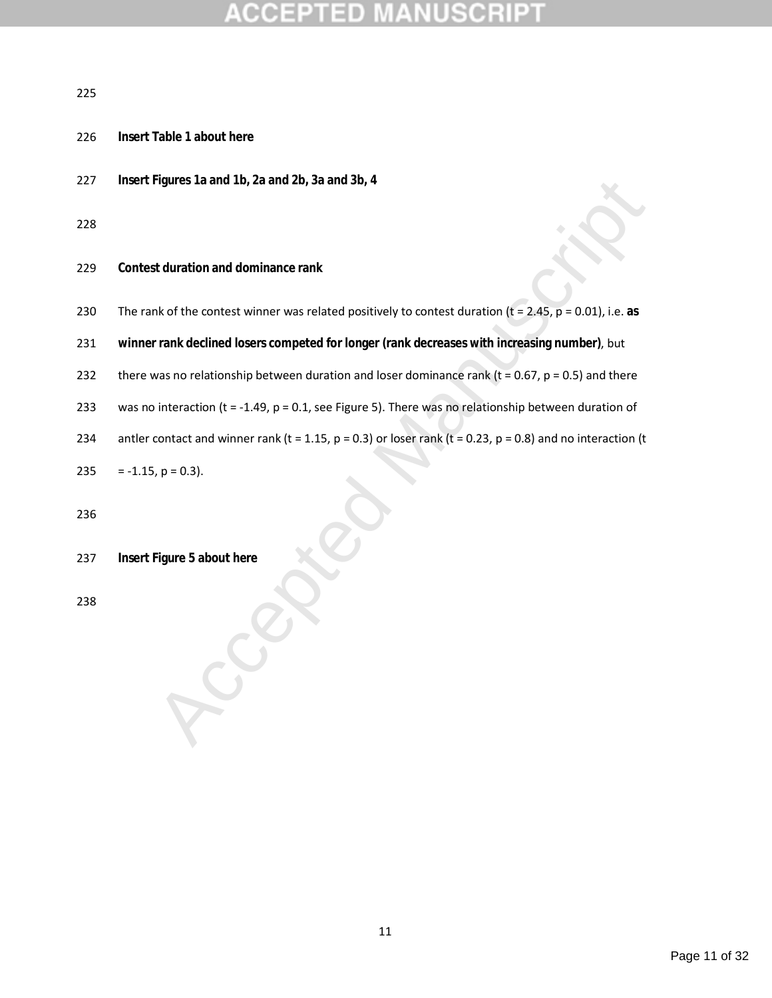## ΞĐ

### 

- **Insert Table 1 about here**
- **Insert Figures 1a and 1b, 2a and 2b, 3a and 3b, 4**

- **Contest duration and dominance rank**
- The rank of the contest winner was related positively to contest duration (t = 2.45, p = 0.01), i.e. **as**
- **winner rank declined losers competed for longer (rank decreases with increasing number)**, but
- 232 there was no relationship between duration and loser dominance rank ( $t = 0.67$ ,  $p = 0.5$ ) and there
- was no interaction (t = -1.49, p = 0.1, see Figure 5). There was no relationship between duration of
- 234 antler contact and winner rank (t = 1.15,  $p = 0.3$ ) or loser rank (t = 0.23,  $p = 0.8$ ) and no interaction (t
- 235 = -1.15,  $p = 0.3$ ).

 $A$ **Insert Figure 5 about here**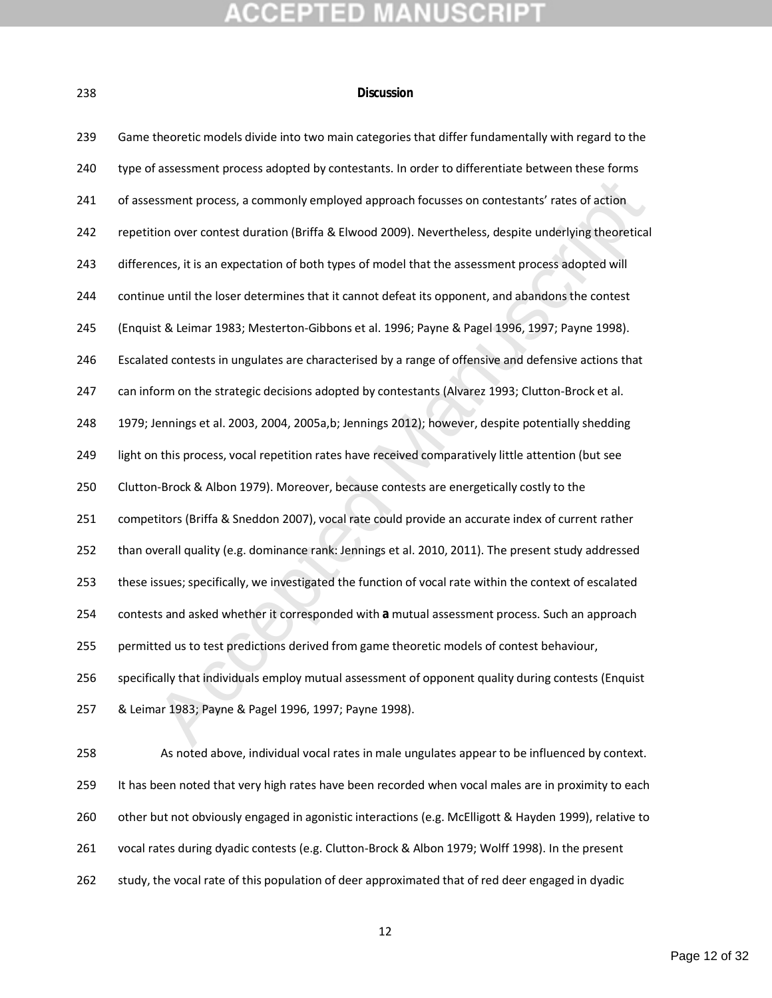### **Discussion**

| 239 | Game theoretic models divide into two main categories that differ fundamentally with regard to the     |
|-----|--------------------------------------------------------------------------------------------------------|
| 240 | type of assessment process adopted by contestants. In order to differentiate between these forms       |
| 241 | of assessment process, a commonly employed approach focusses on contestants' rates of action           |
| 242 | repetition over contest duration (Briffa & Elwood 2009). Nevertheless, despite underlying theoretical  |
| 243 | differences, it is an expectation of both types of model that the assessment process adopted will      |
| 244 | continue until the loser determines that it cannot defeat its opponent, and abandons the contest       |
| 245 | (Enquist & Leimar 1983; Mesterton-Gibbons et al. 1996; Payne & Pagel 1996, 1997; Payne 1998).          |
| 246 | Escalated contests in ungulates are characterised by a range of offensive and defensive actions that   |
| 247 | can inform on the strategic decisions adopted by contestants (Alvarez 1993; Clutton-Brock et al.       |
| 248 | 1979; Jennings et al. 2003, 2004, 2005a,b; Jennings 2012); however, despite potentially shedding       |
| 249 | light on this process, vocal repetition rates have received comparatively little attention (but see    |
| 250 | Clutton-Brock & Albon 1979). Moreover, because contests are energetically costly to the                |
| 251 | competitors (Briffa & Sneddon 2007), vocal rate could provide an accurate index of current rather      |
| 252 | than overall quality (e.g. dominance rank: Jennings et al. 2010, 2011). The present study addressed    |
| 253 | these issues; specifically, we investigated the function of vocal rate within the context of escalated |
| 254 | contests and asked whether it corresponded with a mutual assessment process. Such an approach          |
| 255 | permitted us to test predictions derived from game theoretic models of contest behaviour,              |
| 256 | specifically that individuals employ mutual assessment of opponent quality during contests (Enquist    |
| 257 | & Leimar 1983; Payne & Pagel 1996, 1997; Payne 1998).                                                  |
| 258 | As noted above, individual vocal rates in male ungulates appear to be influenced by context.           |
| 259 | It has been noted that very high rates have been recorded when vocal males are in proximity to each    |
| 260 | other but not obviously engaged in agonistic interactions (e.g. McElligott & Hayden 1999), relative to |
| 261 | vocal rates during dyadic contests (e.g. Clutton-Brock & Albon 1979; Wolff 1998). In the present       |
|     |                                                                                                        |

study, the vocal rate of this population of deer approximated that of red deer engaged in dyadic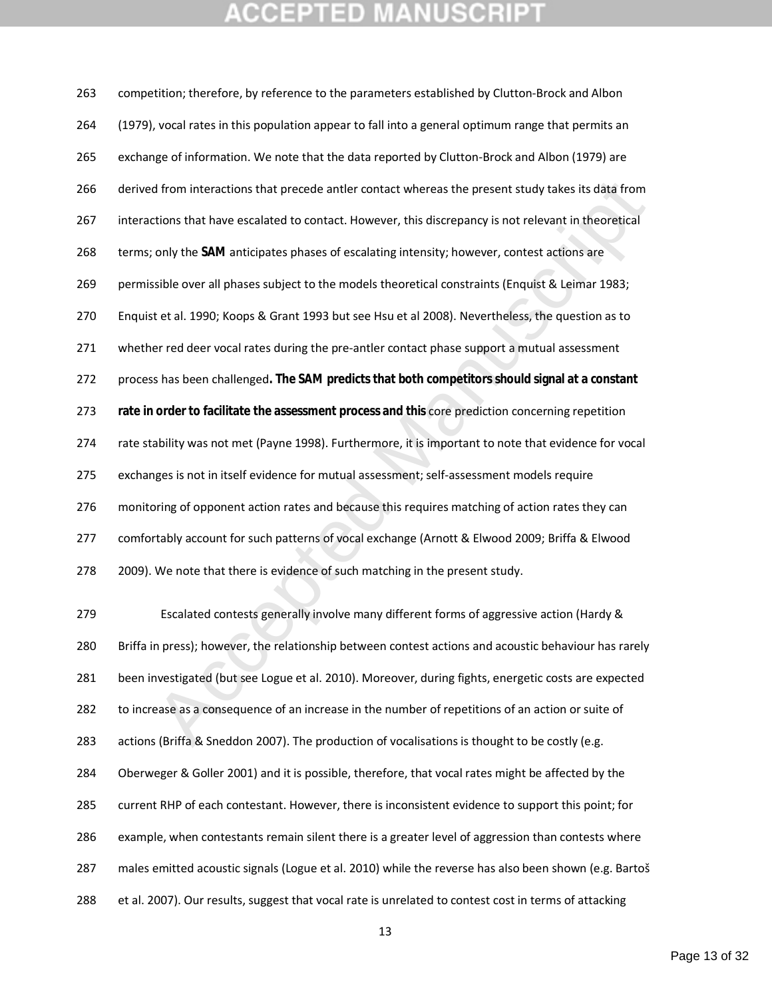## **CCEPTED MANUSCR**

d from interactions that precede antler contact whereas the present study takes its data from<br>tions that have escalated to contact. However, this discrepancy is not relevant in theoretical<br>only the SAM anticipates phases o competition; therefore, by reference to the parameters established by Clutton-Brock and Albon (1979), vocal rates in this population appear to fall into a general optimum range that permits an exchange of information. We note that the data reported by Clutton-Brock and Albon (1979) are derived from interactions that precede antler contact whereas the present study takes its data from interactions that have escalated to contact. However, this discrepancy is not relevant in theoretical terms; only the **SAM** anticipates phases of escalating intensity; however, contest actions are permissible over all phases subject to the models theoretical constraints (Enquist & Leimar 1983; Enquist et al. 1990; Koops & Grant 1993 but see Hsu et al 2008). Nevertheless, the question as to 271 whether red deer vocal rates during the pre-antler contact phase support a mutual assessment process has been challenged**. The SAM predicts that both competitors should signal at a constant rate in order to facilitate the assessment process and this** core prediction concerning repetition rate stability was not met (Payne 1998). Furthermore, it is important to note that evidence for vocal exchanges is not in itself evidence for mutual assessment; self-assessment models require 276 monitoring of opponent action rates and because this requires matching of action rates they can comfortably account for such patterns of vocal exchange (Arnott & Elwood 2009; Briffa & Elwood 2009). We note that there is evidence of such matching in the present study. Escalated contests generally involve many different forms of aggressive action (Hardy & Briffa in press); however, the relationship between contest actions and acoustic behaviour has rarely been investigated (but see Logue et al. 2010). Moreover, during fights, energetic costs are expected to increase as a consequence of an increase in the number of repetitions of an action or suite of actions (Briffa & Sneddon 2007). The production of vocalisations is thought to be costly (e.g. Oberweger & Goller 2001) and it is possible, therefore, that vocal rates might be affected by the

current RHP of each contestant. However, there is inconsistent evidence to support this point; for

example, when contestants remain silent there is a greater level of aggression than contests where

males emitted acoustic signals (Logue et al. 2010) while the reverse has also been shown (e.g. Bartoš

et al. 2007). Our results, suggest that vocal rate is unrelated to contest cost in terms of attacking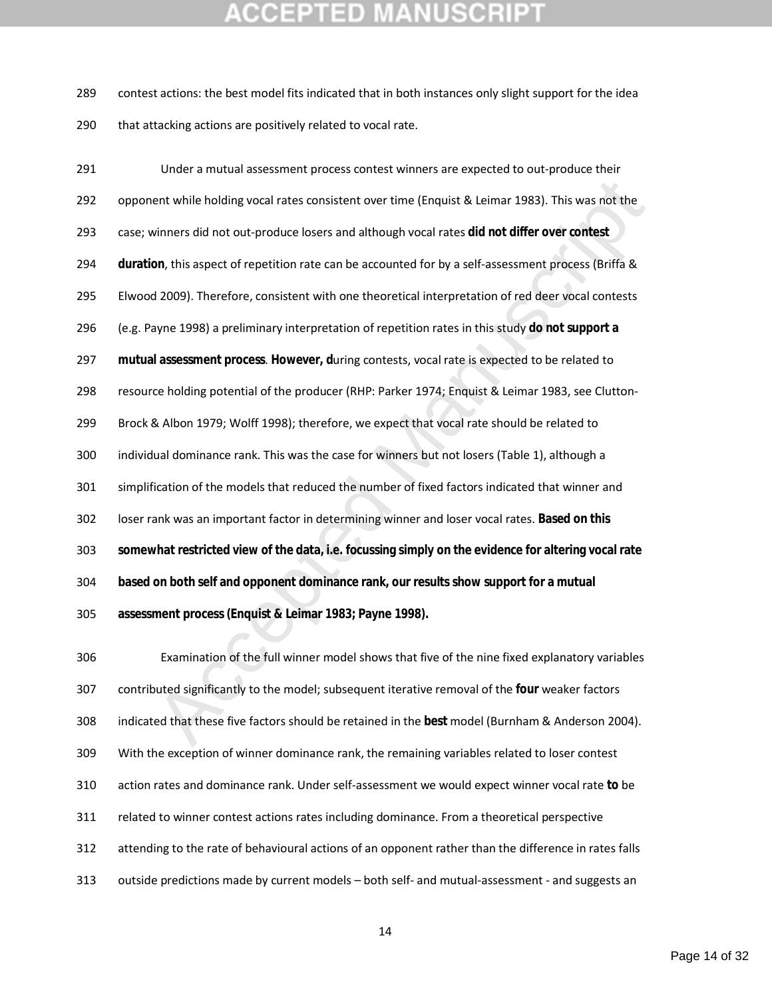## **CCEPTED MANUSCRII**

 contest actions: the best model fits indicated that in both instances only slight support for the idea 290 that attacking actions are positively related to vocal rate.

ent while holding vocal rates consistent over time (Enquist & Leimar 1983). This was not the<br>winners did not out-produce losers and although vocal rates did not differ over contest<br>winners did not out-produce losers and al Under a mutual assessment process contest winners are expected to out-produce their opponent while holding vocal rates consistent over time (Enquist & Leimar 1983). This was not the case; winners did not out-produce losers and although vocal rates **did not differ over contest duration**, this aspect of repetition rate can be accounted for by a self-assessment process (Briffa & Elwood 2009). Therefore, consistent with one theoretical interpretation of red deer vocal contests (e.g. Payne 1998) a preliminary interpretation of repetition rates in this study **do not support a mutual assessment process**. **However, d**uring contests, vocal rate is expected to be related to resource holding potential of the producer (RHP: Parker 1974; Enquist & Leimar 1983, see Clutton- Brock & Albon 1979; Wolff 1998); therefore, we expect that vocal rate should be related to individual dominance rank. This was the case for winners but not losers (Table 1), although a simplification of the models that reduced the number of fixed factors indicated that winner and loser rank was an important factor in determining winner and loser vocal rates. **Based on this somewhat restricted view of the data, i.e. focussing simply on the evidence for altering vocal rate based on both self and opponent dominance rank, our results show support for a mutual assessment process (Enquist & Leimar 1983; Payne 1998).** 

 Examination of the full winner model shows that five of the nine fixed explanatory variables contributed significantly to the model; subsequent iterative removal of the **four** weaker factors indicated that these five factors should be retained in the **best** model (Burnham & Anderson 2004). With the exception of winner dominance rank, the remaining variables related to loser contest action rates and dominance rank. Under self-assessment we would expect winner vocal rate **to** be related to winner contest actions rates including dominance. From a theoretical perspective attending to the rate of behavioural actions of an opponent rather than the difference in rates falls outside predictions made by current models – both self- and mutual-assessment - and suggests an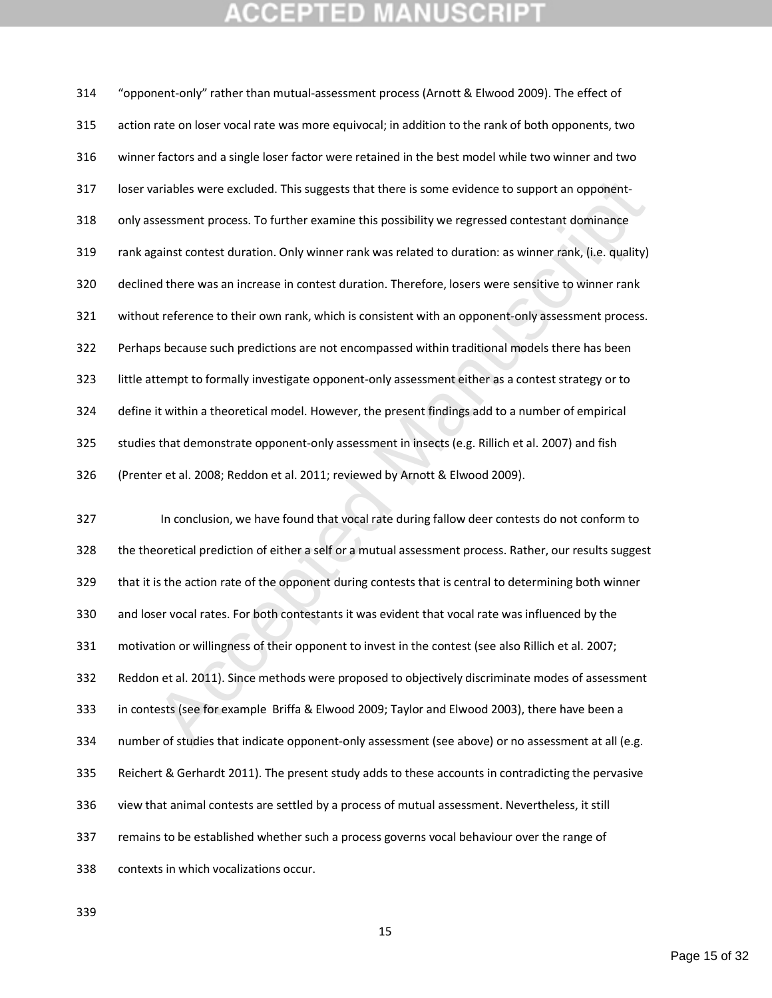## **CCEPTED MANUSCRI**I

ariables were excluded. This suggests that there is some evidence to support an opponent-<br>sessment process. To further examine this possibility we regressed contestant dominance<br>gainst contest duration. Only winner rank wa "opponent-only" rather than mutual-assessment process (Arnott & Elwood 2009). The effect of action rate on loser vocal rate was more equivocal; in addition to the rank of both opponents, two winner factors and a single loser factor were retained in the best model while two winner and two loser variables were excluded. This suggests that there is some evidence to support an opponent- only assessment process. To further examine this possibility we regressed contestant dominance rank against contest duration. Only winner rank was related to duration: as winner rank, (i.e. quality) declined there was an increase in contest duration. Therefore, losers were sensitive to winner rank without reference to their own rank, which is consistent with an opponent-only assessment process. Perhaps because such predictions are not encompassed within traditional models there has been little attempt to formally investigate opponent-only assessment either as a contest strategy or to define it within a theoretical model. However, the present findings add to a number of empirical studies that demonstrate opponent-only assessment in insects (e.g. Rillich et al. 2007) and fish (Prenter et al. 2008; Reddon et al. 2011; reviewed by Arnott & Elwood 2009). In conclusion, we have found that vocal rate during fallow deer contests do not conform to the theoretical prediction of either a self or a mutual assessment process. Rather, our results suggest that it is the action rate of the opponent during contests that is central to determining both winner and loser vocal rates. For both contestants it was evident that vocal rate was influenced by the motivation or willingness of their opponent to invest in the contest (see also Rillich et al. 2007; Reddon et al. 2011). Since methods were proposed to objectively discriminate modes of assessment in contests (see for example Briffa & Elwood 2009; Taylor and Elwood 2003), there have been a 334 number of studies that indicate opponent-only assessment (see above) or no assessment at all (e.g. Reichert & Gerhardt 2011). The present study adds to these accounts in contradicting the pervasive view that animal contests are settled by a process of mutual assessment. Nevertheless, it still

remains to be established whether such a process governs vocal behaviour over the range of

contexts in which vocalizations occur.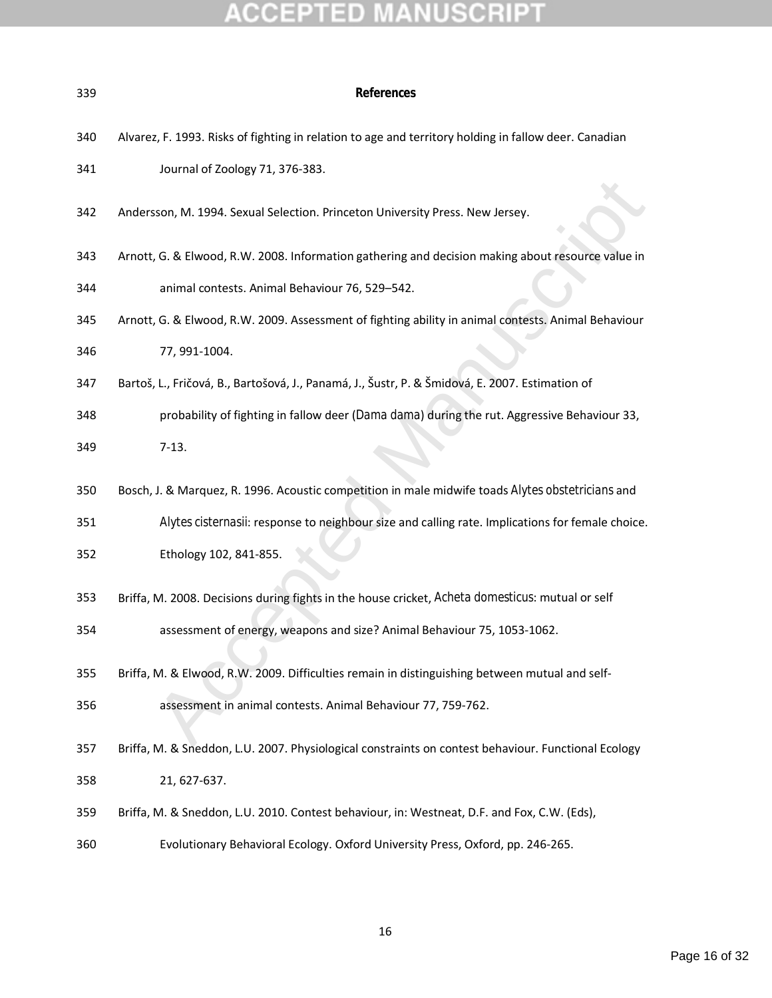| 339 | References                                                                                            |  |  |
|-----|-------------------------------------------------------------------------------------------------------|--|--|
| 340 | Alvarez, F. 1993. Risks of fighting in relation to age and territory holding in fallow deer. Canadian |  |  |
| 341 | Journal of Zoology 71, 376-383.                                                                       |  |  |
| 342 | Andersson, M. 1994. Sexual Selection. Princeton University Press. New Jersey.                         |  |  |
| 343 | Arnott, G. & Elwood, R.W. 2008. Information gathering and decision making about resource value in     |  |  |
| 344 | animal contests. Animal Behaviour 76, 529-542.                                                        |  |  |
| 345 | Arnott, G. & Elwood, R.W. 2009. Assessment of fighting ability in animal contests. Animal Behaviour   |  |  |
| 346 | 77, 991-1004.                                                                                         |  |  |
| 347 | Bartoš, L., Fričová, B., Bartošová, J., Panamá, J., Šustr, P. & Šmidová, E. 2007. Estimation of       |  |  |
| 348 | probability of fighting in fallow deer (Dama dama) during the rut. Aggressive Behaviour 33,           |  |  |
| 349 | $7-13.$                                                                                               |  |  |
| 350 | Bosch, J. & Marquez, R. 1996. Acoustic competition in male midwife toads Alytes obstetricians and     |  |  |
| 351 | Alytes cisternasii: response to neighbour size and calling rate. Implications for female choice.      |  |  |
| 352 | Ethology 102, 841-855.                                                                                |  |  |
| 353 | Briffa, M. 2008. Decisions during fights in the house cricket, Acheta domesticus: mutual or self      |  |  |
| 354 | assessment of energy, weapons and size? Animal Behaviour 75, 1053-1062.                               |  |  |
| 355 | Briffa, M. & Elwood, R.W. 2009. Difficulties remain in distinguishing between mutual and self-        |  |  |
| 356 | assessment in animal contests. Animal Behaviour 77, 759-762.                                          |  |  |
| 357 | Briffa, M. & Sneddon, L.U. 2007. Physiological constraints on contest behaviour. Functional Ecology   |  |  |
| 358 | 21, 627-637.                                                                                          |  |  |
| 359 | Briffa, M. & Sneddon, L.U. 2010. Contest behaviour, in: Westneat, D.F. and Fox, C.W. (Eds),           |  |  |
| 360 | Evolutionary Behavioral Ecology. Oxford University Press, Oxford, pp. 246-265.                        |  |  |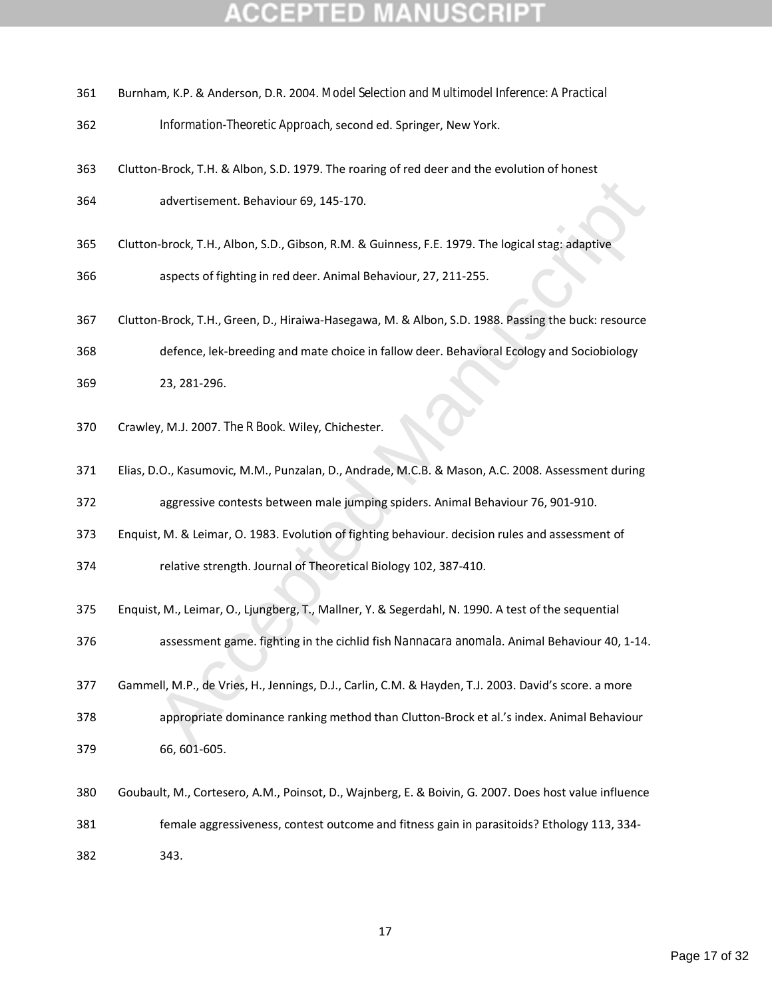| 361 |  |  | Burnham, K.P. & Anderson, D.R. 2004. Model Selection and Multimodel Inference: A Practical |
|-----|--|--|--------------------------------------------------------------------------------------------|
|-----|--|--|--------------------------------------------------------------------------------------------|

- *Information-Theoretic Approach*, second ed. Springer, New York.
- Clutton-Brock, T.H. & Albon, S.D. 1979. The roaring of red deer and the evolution of honest

advertisement. Behaviour 69, 145-170.

Clutton-brock, T.H., Albon, S.D., Gibson, R.M. & Guinness, F.E. 1979. The logical stag: adaptive

aspects of fighting in red deer. Animal Behaviour, 27, 211-255.

 Clutton-Brock, T.H., Green, D., Hiraiwa-Hasegawa, M. & Albon, S.D. 1988. Passing the buck: resource defence, lek-breeding and mate choice in fallow deer. Behavioral Ecology and Sociobiology

23, 281-296.

- Crawley, M.J. 2007. *The R Book*. Wiley, Chichester.
- Elias, D.O., Kasumovic, M.M., Punzalan, D., Andrade, M.C.B. & Mason, A.C. 2008. Assessment during

aggressive contests between male jumping spiders. Animal Behaviour 76, 901-910.

Enquist, M. & Leimar, O. 1983. Evolution of fighting behaviour. decision rules and assessment of

relative strength. Journal of Theoretical Biology 102, 387-410.

- Enquist, M., Leimar, O., Ljungberg, T., Mallner, Y. & Segerdahl, N. 1990. A test of the sequential
- assessment game. fighting in the cichlid fish *Nannacara anomala*. Animal Behaviour 40, 1-14.
- advertisement. Behaviour 69, 145-170.<br>
h-brock, T.H., Albon, S.D., Gibson, R.M. & Guinness, F.E. 1979. The logical stag: adaptive<br>
aspects of fighting in red deer. Animal Behaviour, 27, 211-255.<br>
h-Brock, T.H., Green, D., Gammell, M.P., de Vries, H., Jennings, D.J., Carlin, C.M. & Hayden, T.J. 2003. David's score. a more appropriate dominance ranking method than Clutton-Brock et al.'s index. Animal Behaviour 66, 601-605.
- Goubault, M., Cortesero, A.M., Poinsot, D., Wajnberg, E. & Boivin, G. 2007. Does host value influence female aggressiveness, contest outcome and fitness gain in parasitoids? Ethology 113, 334- 343.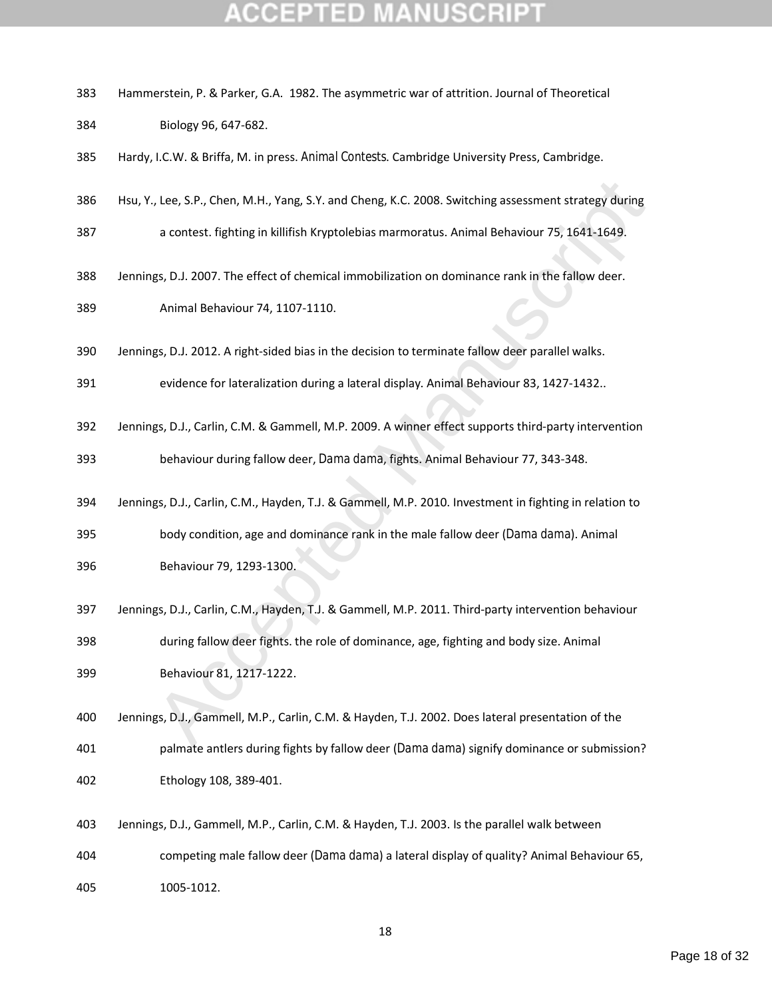| 383 | Hammerstein, P. & Parker, G.A. 1982. The asymmetric war of attrition. Journal of Theoretical           |
|-----|--------------------------------------------------------------------------------------------------------|
| 384 | Biology 96, 647-682.                                                                                   |
| 385 | Hardy, I.C.W. & Briffa, M. in press. Animal Contests. Cambridge University Press, Cambridge.           |
| 386 | Hsu, Y., Lee, S.P., Chen, M.H., Yang, S.Y. and Cheng, K.C. 2008. Switching assessment strategy during  |
| 387 | a contest. fighting in killifish Kryptolebias marmoratus. Animal Behaviour 75, 1641-1649.              |
| 388 | Jennings, D.J. 2007. The effect of chemical immobilization on dominance rank in the fallow deer.       |
| 389 | Animal Behaviour 74, 1107-1110.                                                                        |
| 390 | Jennings, D.J. 2012. A right-sided bias in the decision to terminate fallow deer parallel walks.       |
| 391 | evidence for lateralization during a lateral display. Animal Behaviour 83, 1427-1432                   |
| 392 | Jennings, D.J., Carlin, C.M. & Gammell, M.P. 2009. A winner effect supports third-party intervention   |
| 393 | behaviour during fallow deer, Dama dama, fights. Animal Behaviour 77, 343-348.                         |
| 394 | Jennings, D.J., Carlin, C.M., Hayden, T.J. & Gammell, M.P. 2010. Investment in fighting in relation to |
| 395 | body condition, age and dominance rank in the male fallow deer (Dama dama). Animal                     |
| 396 | Behaviour 79, 1293-1300.                                                                               |
| 397 | Jennings, D.J., Carlin, C.M., Hayden, T.J. & Gammell, M.P. 2011. Third-party intervention behaviour    |
| 398 | during fallow deer fights. the role of dominance, age, fighting and body size. Animal                  |
| 399 | Behaviour 81, 1217-1222.                                                                               |
| 400 | Jennings, D.J., Gammell, M.P., Carlin, C.M. & Hayden, T.J. 2002. Does lateral presentation of the      |
| 401 | palmate antlers during fights by fallow deer (Dama dama) signify dominance or submission?              |
| 402 | Ethology 108, 389-401.                                                                                 |
| 403 | Jennings, D.J., Gammell, M.P., Carlin, C.M. & Hayden, T.J. 2003. Is the parallel walk between          |
| 404 | competing male fallow deer (Dama dama) a lateral display of quality? Animal Behaviour 65,              |
| 405 | 1005-1012.                                                                                             |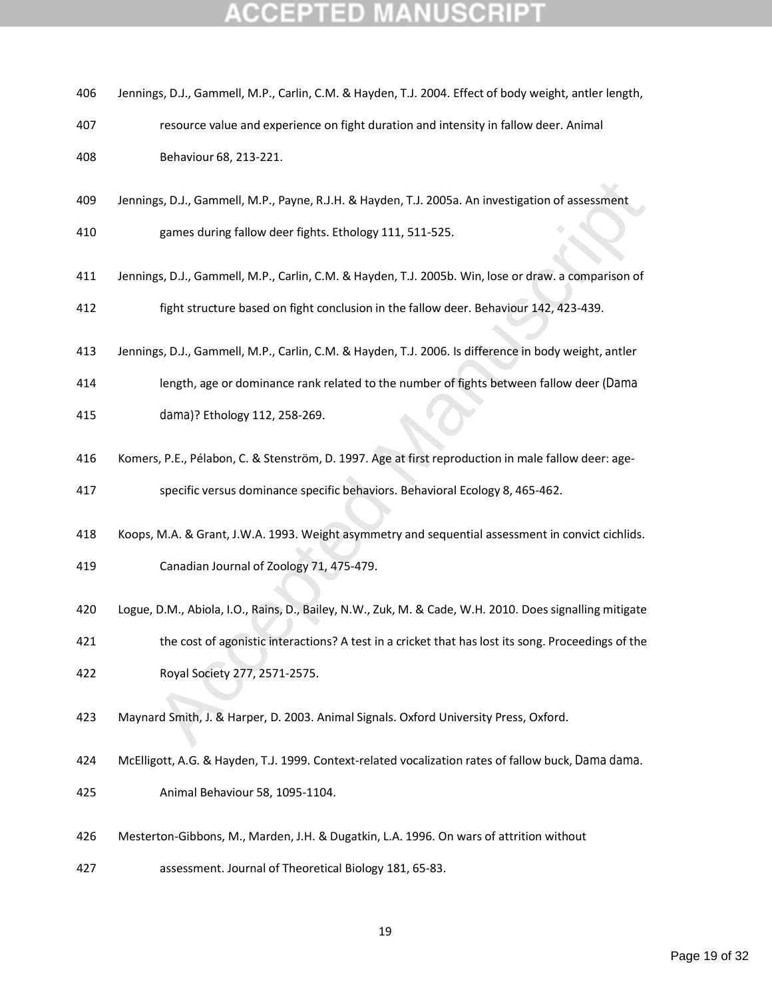| 406 | Jennings, D.J., Gammell, M.P., Carlin, C.M. & Hayden, T.J. 2004. Effect of body weight, antler length,  |
|-----|---------------------------------------------------------------------------------------------------------|
| 407 | resource value and experience on fight duration and intensity in fallow deer. Animal                    |
| 408 | Behaviour 68, 213-221.                                                                                  |
| 409 | Jennings, D.J., Gammell, M.P., Payne, R.J.H. & Hayden, T.J. 2005a. An investigation of assessment       |
| 410 | games during fallow deer fights. Ethology 111, 511-525.                                                 |
| 411 | Jennings, D.J., Gammell, M.P., Carlin, C.M. & Hayden, T.J. 2005b. Win, lose or draw. a comparison of    |
| 412 | fight structure based on fight conclusion in the fallow deer. Behaviour 142, 423-439.                   |
| 413 | Jennings, D.J., Gammell, M.P., Carlin, C.M. & Hayden, T.J. 2006. Is difference in body weight, antler   |
| 414 | length, age or dominance rank related to the number of fights between fallow deer (Dama                 |
| 415 | dama)? Ethology 112, 258-269.                                                                           |
| 416 | Komers, P.E., Pélabon, C. & Stenström, D. 1997. Age at first reproduction in male fallow deer: age-     |
| 417 | specific versus dominance specific behaviors. Behavioral Ecology 8, 465-462.                            |
| 418 | Koops, M.A. & Grant, J.W.A. 1993. Weight asymmetry and sequential assessment in convict cichlids.       |
| 419 | Canadian Journal of Zoology 71, 475-479.                                                                |
| 420 | Logue, D.M., Abiola, I.O., Rains, D., Bailey, N.W., Zuk, M. & Cade, W.H. 2010. Does signalling mitigate |
| 421 | the cost of agonistic interactions? A test in a cricket that has lost its song. Proceedings of the      |
| 422 | Royal Society 277, 2571-2575.                                                                           |
| 423 | Maynard Smith, J. & Harper, D. 2003. Animal Signals. Oxford University Press, Oxford.                   |
| 424 | McElligott, A.G. & Hayden, T.J. 1999. Context-related vocalization rates of fallow buck, Dama dama.     |
| 425 | Animal Behaviour 58, 1095-1104.                                                                         |

- Mesterton-Gibbons, M., Marden, J.H. & Dugatkin, L.A. 1996. On wars of attrition without
- assessment. Journal of Theoretical Biology 181, 65-83.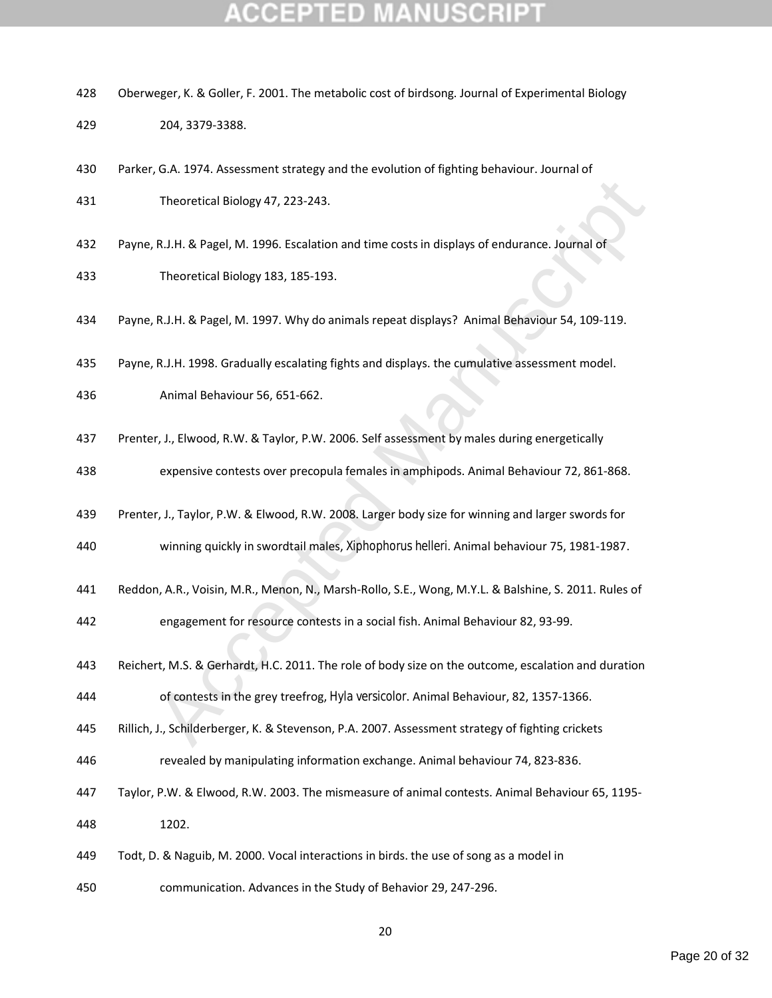- Oberweger, K. & Goller, F. 2001. The metabolic cost of birdsong. Journal of Experimental Biology
- 204, 3379-3388.
- Parker, G.A. 1974. Assessment strategy and the evolution of fighting behaviour. Journal of Theoretical Biology 47, 223-243.
- Payne, R.J.H. & Pagel, M. 1996. Escalation and time costs in displays of endurance. Journal of Theoretical Biology 183, 185-193.
- Payne, R.J.H. & Pagel, M. 1997. Why do animals repeat displays? Animal Behaviour 54, 109-119.
- Payne, R.J.H. 1998. Gradually escalating fights and displays. the cumulative assessment model.
- Animal Behaviour 56, 651-662.
- Prenter, J., Elwood, R.W. & Taylor, P.W. 2006. Self assessment by males during energetically
- expensive contests over precopula females in amphipods. Animal Behaviour 72, 861-868.
- Prenter, J., Taylor, P.W. & Elwood, R.W. 2008. Larger body size for winning and larger swords for
- winning quickly in swordtail males, *Xiphophorus helleri*. Animal behaviour 75, 1981-1987.
- Reddon, A.R., Voisin, M.R., Menon, N., Marsh-Rollo, S.E., Wong, M.Y.L. & Balshine, S. 2011. Rules of
- engagement for resource contests in a social fish. Animal Behaviour 82, 93-99.
- Theoretical Biology 47, 223-243.<br>
R.J.H. & Pagel, M. 1996. Escalation and time costs in displays of endurance. Journal of<br>
Theoretical Biology 183, 185-193.<br>
R.J.H. & Pagel, M. 1997. Why do animals repeat displays? Animal Reichert, M.S. & Gerhardt, H.C. 2011. The role of body size on the outcome, escalation and duration of contests in the grey treefrog, *Hyla versicolor*. Animal Behaviour, 82, 1357-1366.
- Rillich, J., Schilderberger, K. & Stevenson, P.A. 2007. Assessment strategy of fighting crickets
- revealed by manipulating information exchange. Animal behaviour 74, 823-836.
- Taylor, P.W. & Elwood, R.W. 2003. The mismeasure of animal contests. Animal Behaviour 65, 1195- 1202.
- Todt, D. & Naguib, M. 2000. Vocal interactions in birds. the use of song as a model in
- communication. Advances in the Study of Behavior 29, 247-296.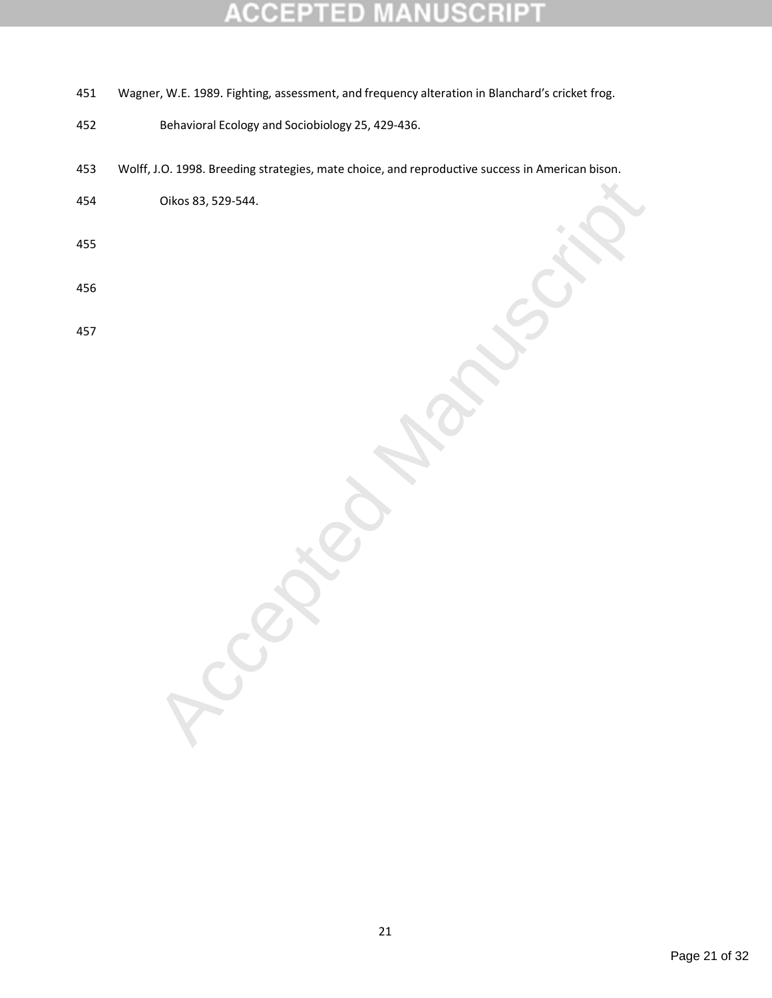#### E B CC  $\blacksquare$ 10 ۰  $\overline{\tau}$

- 451 Wagner, W.E. 1989. Fighting, assessment, and frequency alteration in Blanchard's cricket frog.
- 452 Behavioral Ecology and Sociobiology 25, 429-436.
- 453 Wolff, J.O. 1998. Breeding strategies, mate choice, and reproductive success in American bison.
- 454 Oikos 83, 529-544.
- 455
- 456
- 457

Accepted Manuscript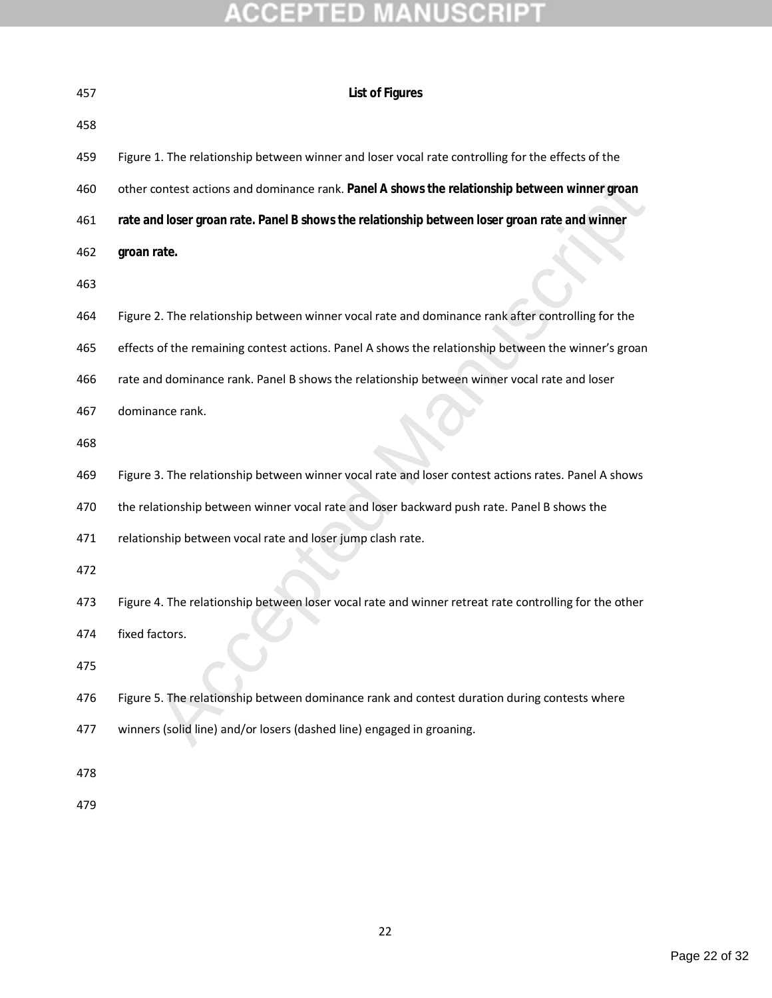| 457 | List of Figures                                                                                       |
|-----|-------------------------------------------------------------------------------------------------------|
| 458 |                                                                                                       |
| 459 | Figure 1. The relationship between winner and loser vocal rate controlling for the effects of the     |
| 460 | other contest actions and dominance rank. Panel A shows the relationship between winner groan         |
| 461 | rate and loser groan rate. Panel B shows the relationship between loser groan rate and winner         |
| 462 | groan rate.                                                                                           |
| 463 |                                                                                                       |
| 464 | Figure 2. The relationship between winner vocal rate and dominance rank after controlling for the     |
| 465 | effects of the remaining contest actions. Panel A shows the relationship between the winner's groan   |
| 466 | rate and dominance rank. Panel B shows the relationship between winner vocal rate and loser           |
| 467 | dominance rank.                                                                                       |
| 468 |                                                                                                       |
| 469 | Figure 3. The relationship between winner vocal rate and loser contest actions rates. Panel A shows   |
| 470 | the relationship between winner vocal rate and loser backward push rate. Panel B shows the            |
| 471 | relationship between vocal rate and loser jump clash rate.                                            |
| 472 |                                                                                                       |
| 473 | Figure 4. The relationship between loser vocal rate and winner retreat rate controlling for the other |
| 474 | fixed factors.                                                                                        |
| 475 |                                                                                                       |
| 476 | Figure 5. The relationship between dominance rank and contest duration during contests where          |
| 477 | winners (solid line) and/or losers (dashed line) engaged in groaning.                                 |
| 478 |                                                                                                       |
| 479 |                                                                                                       |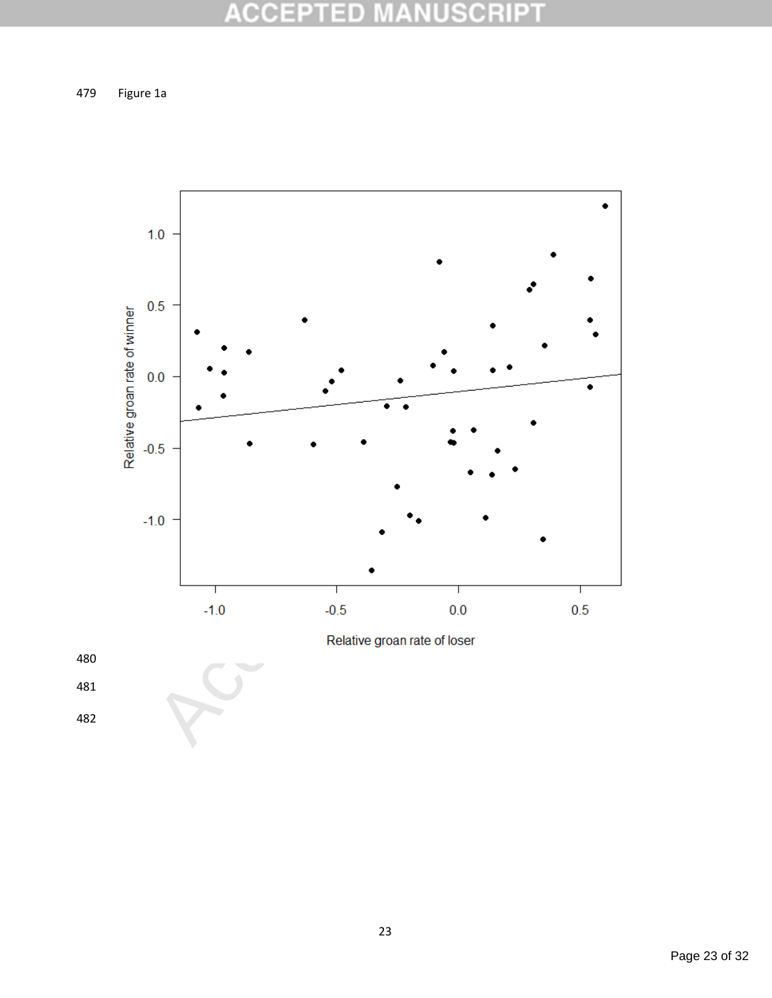#### **ACCEP NUSCRIPT** ED

479 Figure 1a



480

481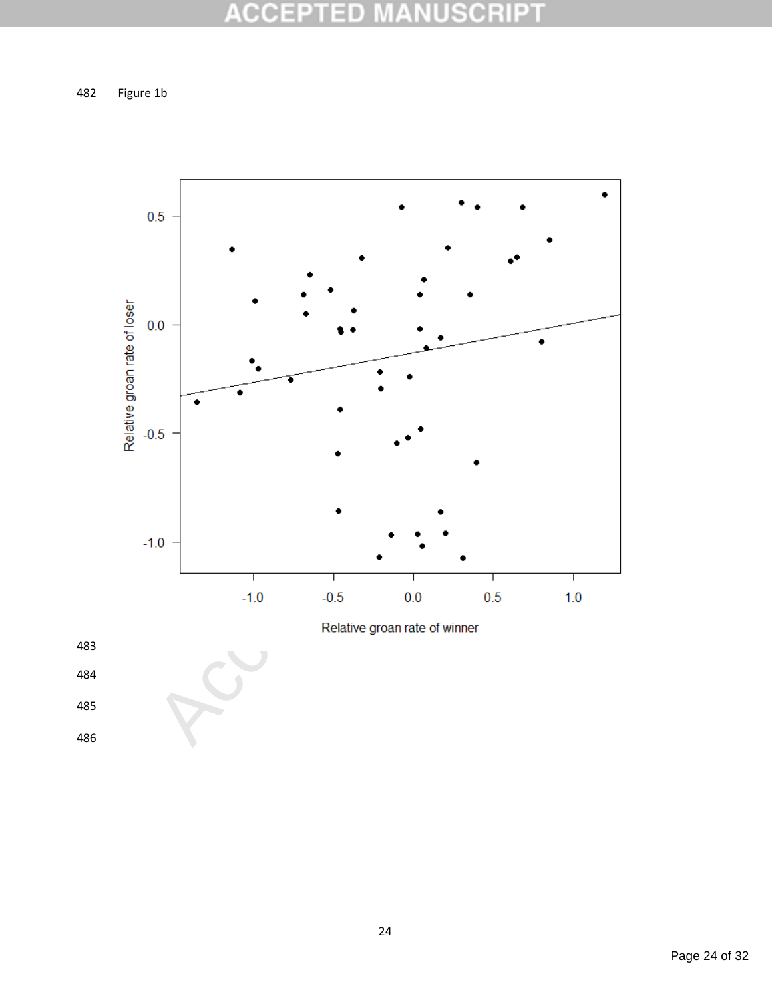#### **ACCEPT NUSCRIPT** ED  $\perp$

482 Figure 1b



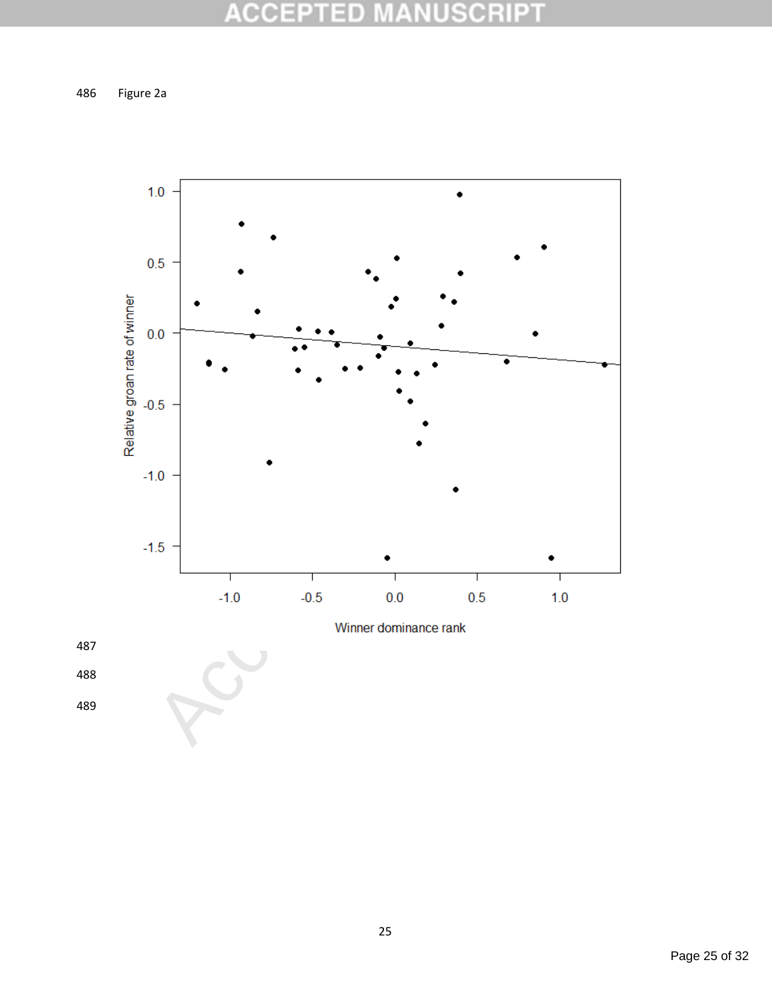#### **ACCEPT NUSCRIPT** ED ¥

486 Figure 2a





Page 25 of 32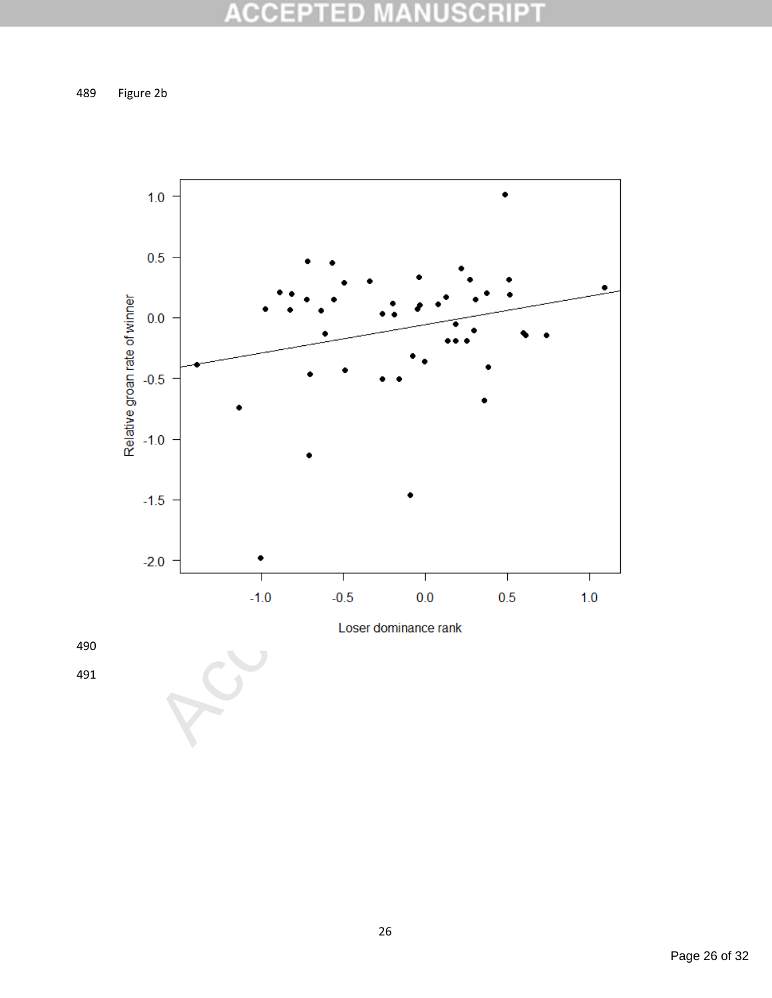#### **ACCEPTI NUSCRIPT** ED ¥

489 Figure 2b



490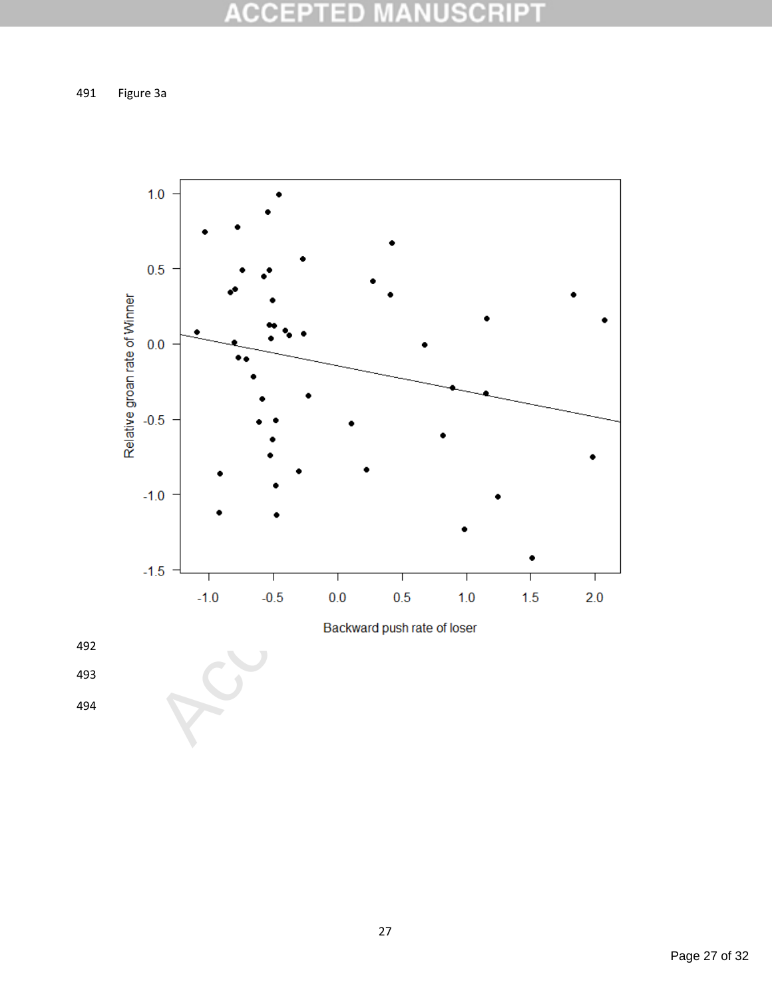491 Figure 3a



492

493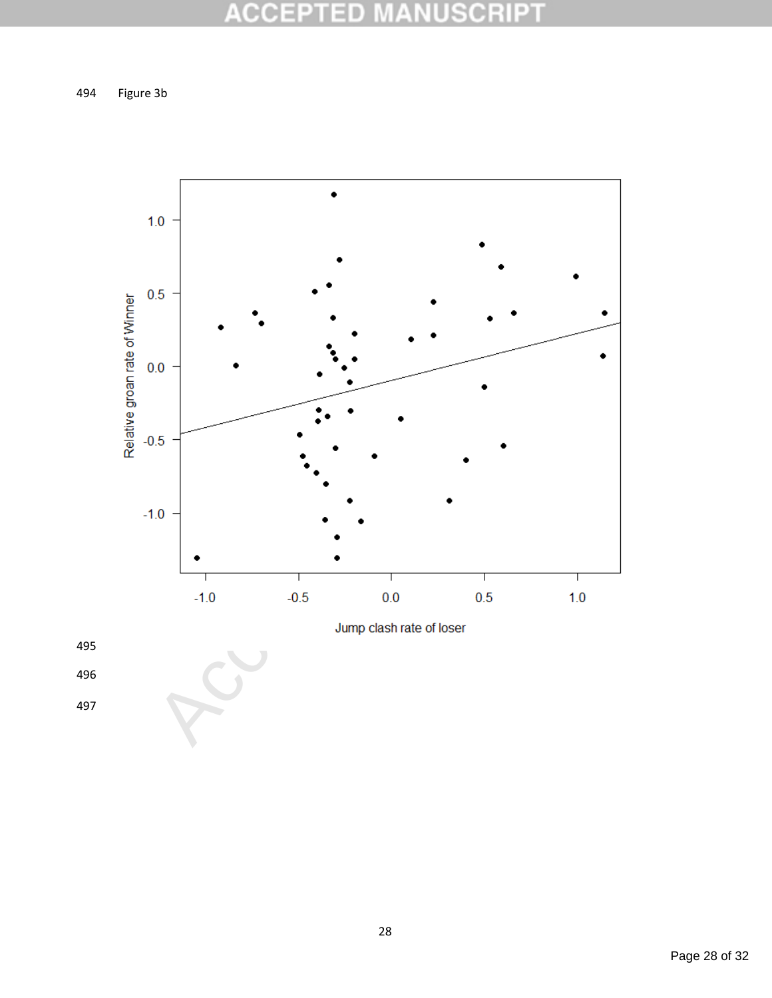494 Figure 3b





496

497

Page 28 of 32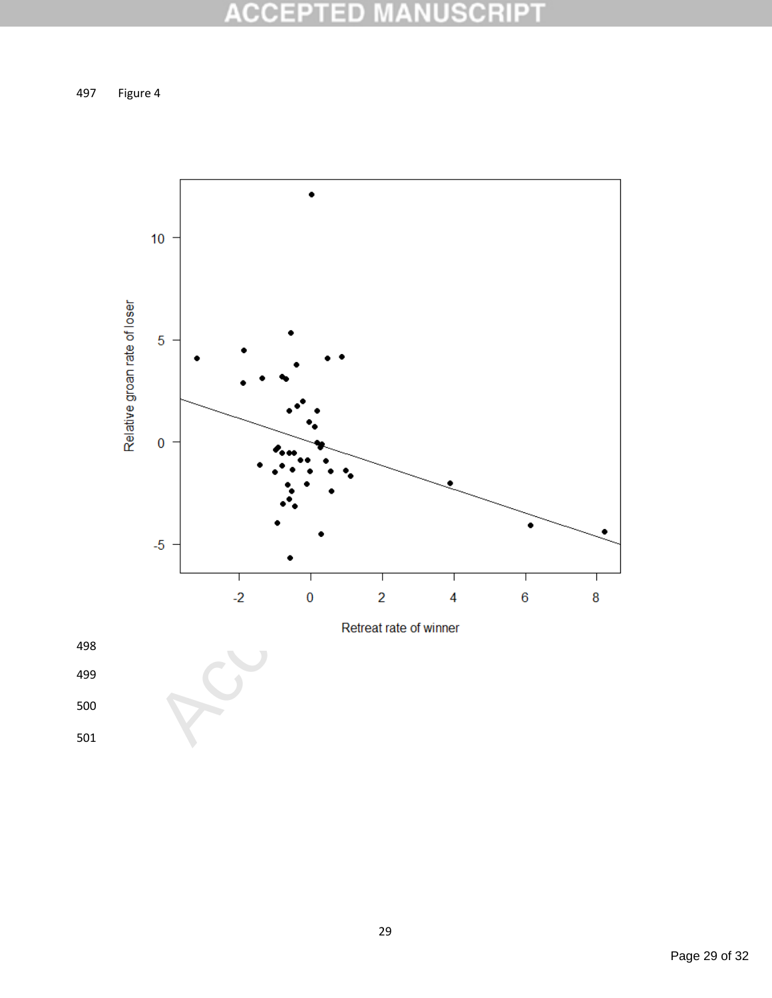497 Figure 4



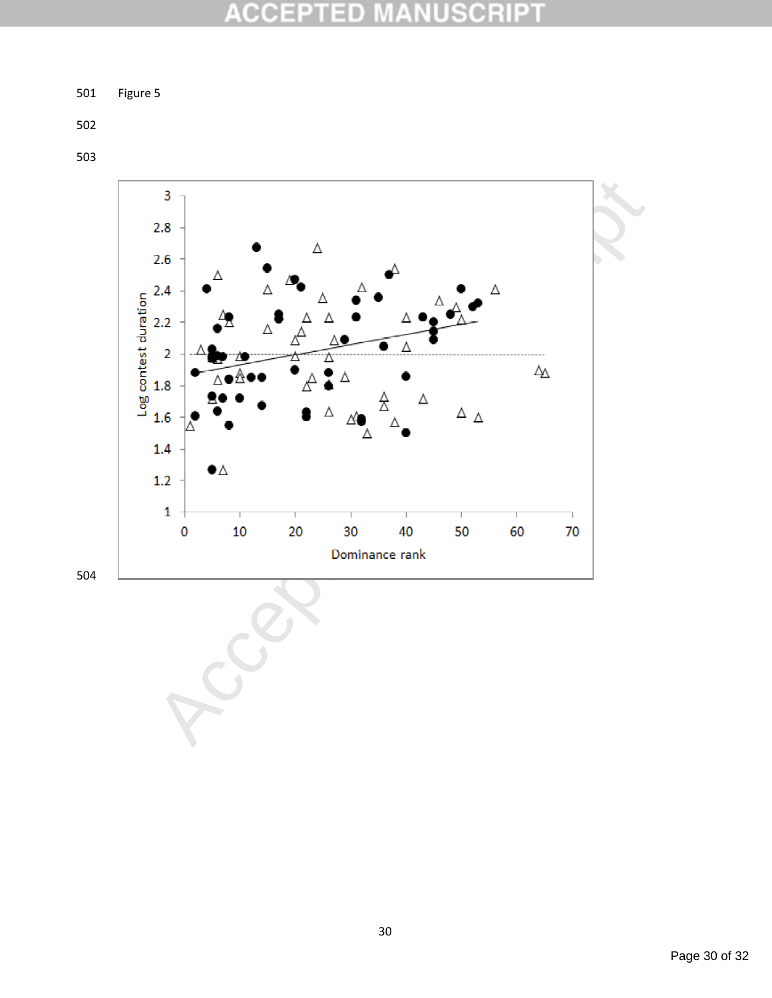#### **ACCE SCRIPT** D  $\blacksquare$

501 Figure 5

502

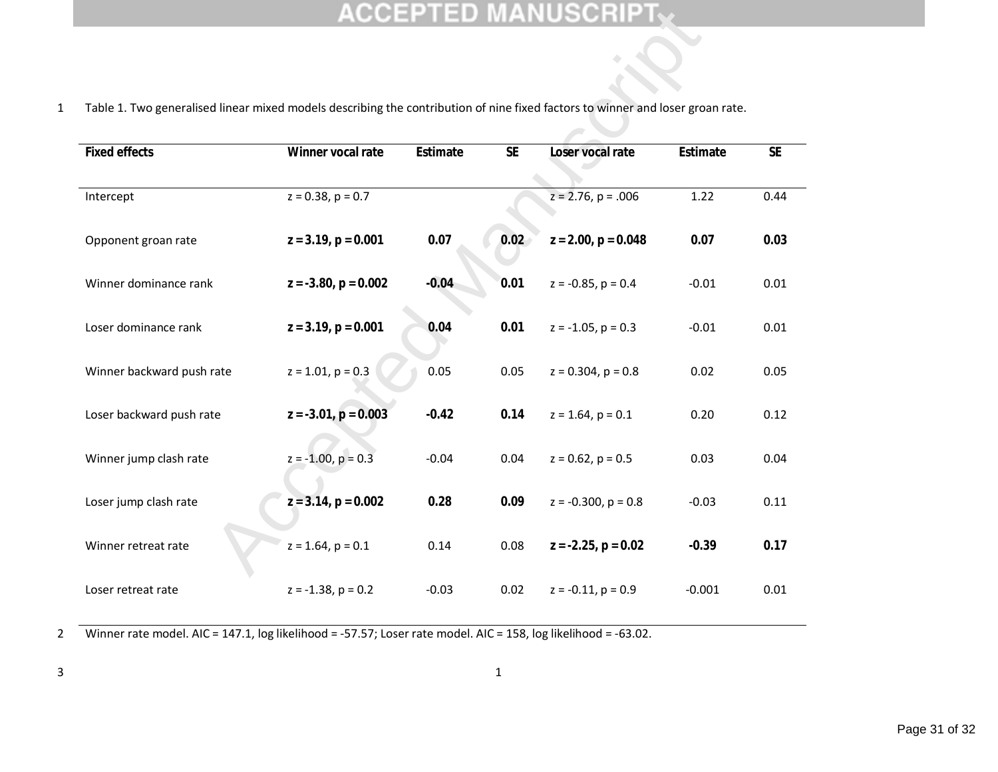| Table 1. Two generalised linear mixed models describing the contribution of nine fixed factors to winner and loser groan rate. |                           |          |           |                          |          |           |  |  |  |  |  |
|--------------------------------------------------------------------------------------------------------------------------------|---------------------------|----------|-----------|--------------------------|----------|-----------|--|--|--|--|--|
| <b>Fixed effects</b>                                                                                                           | Winner vocal rate         | Estimate | <b>SE</b> | Loser vocal rate         | Estimate | <b>SE</b> |  |  |  |  |  |
|                                                                                                                                |                           |          |           |                          |          |           |  |  |  |  |  |
| Intercept                                                                                                                      | $z = 0.38$ , $p = 0.7$    |          |           | $z = 2.76$ , $p = .006$  | 1.22     | 0.44      |  |  |  |  |  |
| Opponent groan rate                                                                                                            | $z = 3.19$ , $p = 0.001$  | 0.07     | 0.02      | $z = 2.00$ , $p = 0.048$ | 0.07     | 0.03      |  |  |  |  |  |
| Winner dominance rank                                                                                                          | $z = -3.80$ , $p = 0.002$ | $-0.04$  | 0.01      | $z = -0.85$ , $p = 0.4$  | $-0.01$  | 0.01      |  |  |  |  |  |
| Loser dominance rank                                                                                                           | $z = 3.19$ , $p = 0.001$  | 0.04     | 0.01      | $z = -1.05$ , $p = 0.3$  | $-0.01$  | 0.01      |  |  |  |  |  |
| Winner backward push rate                                                                                                      | $z = 1.01$ , $p = 0.3$    | 0.05     | 0.05      | $z = 0.304$ , $p = 0.8$  | 0.02     | 0.05      |  |  |  |  |  |
| Loser backward push rate                                                                                                       | $z = -3.01$ , $p = 0.003$ | $-0.42$  | 0.14      | $z = 1.64$ , $p = 0.1$   | 0.20     | 0.12      |  |  |  |  |  |
| Winner jump clash rate                                                                                                         | $z = -1.00$ , $p = 0.3$   | $-0.04$  | 0.04      | $z = 0.62$ , $p = 0.5$   | 0.03     | 0.04      |  |  |  |  |  |
| Loser jump clash rate                                                                                                          | $z = 3.14$ , $p = 0.002$  | 0.28     | 0.09      | $z = -0.300$ , $p = 0.8$ | $-0.03$  | 0.11      |  |  |  |  |  |
| Winner retreat rate                                                                                                            | $z = 1.64$ , $p = 0.1$    | 0.14     | 0.08      | $z = -2.25$ , $p = 0.02$ | $-0.39$  | 0.17      |  |  |  |  |  |
| Loser retreat rate                                                                                                             | $z = -1.38$ , $p = 0.2$   | $-0.03$  | 0.02      | $z = -0.11$ , $p = 0.9$  | $-0.001$ | 0.01      |  |  |  |  |  |

2 Winner rate model. AIC = 147.1, log likelihood = -57.57; Loser rate model. AIC = 158, log likelihood = -63.02.